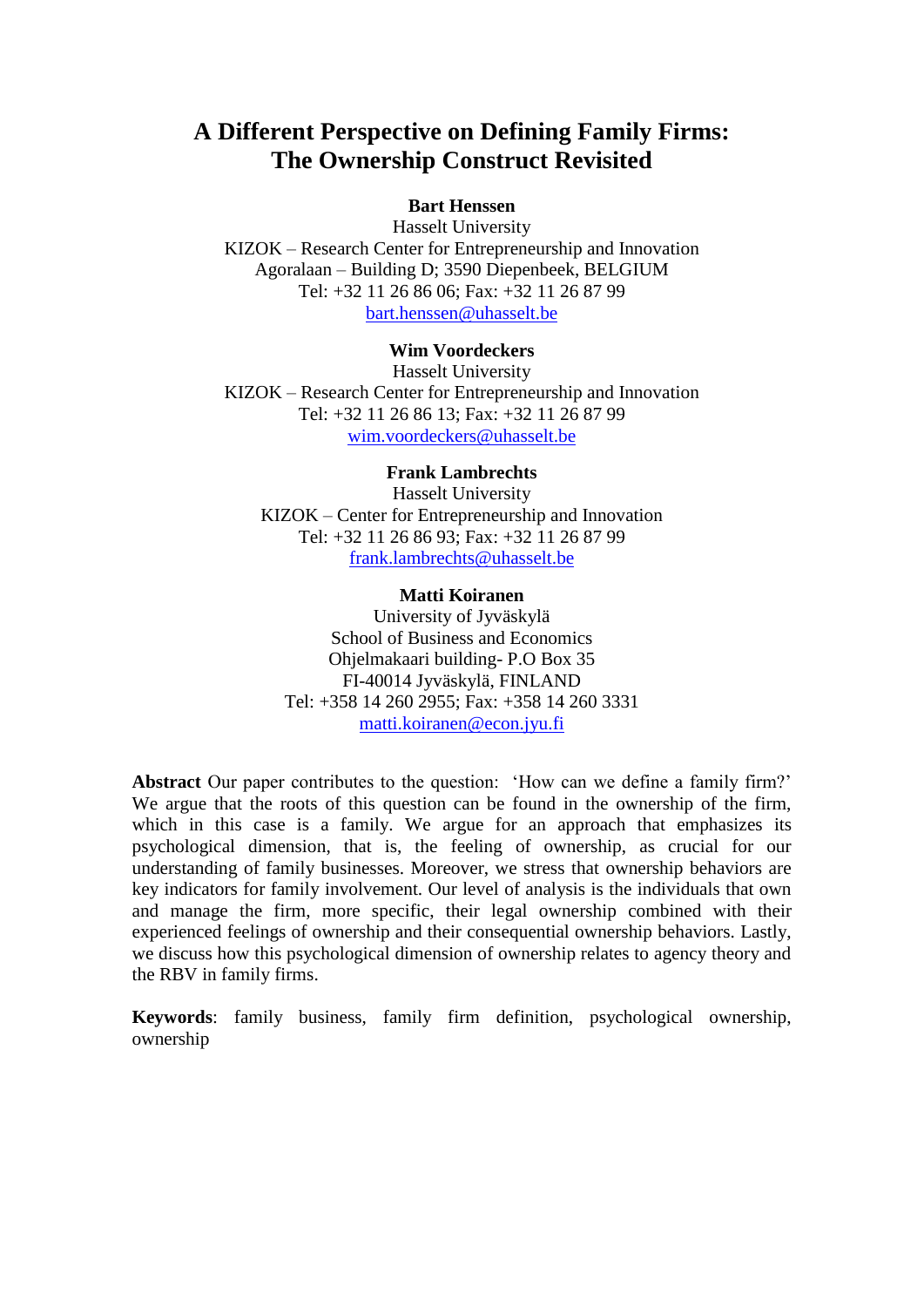# **A Different Perspective on Defining Family Firms: The Ownership Construct Revisited**

#### **Bart Henssen**

Hasselt University KIZOK – Research Center for Entrepreneurship and Innovation Agoralaan – Building D; 3590 Diepenbeek, BELGIUM Tel: +32 11 26 86 06; Fax: +32 11 26 87 99 [bart.henssen@uhasselt.be](mailto:bart.henssen@uhasselt.be)

## **Wim Voordeckers**

Hasselt University KIZOK – Research Center for Entrepreneurship and Innovation Tel: +32 11 26 86 13; Fax: +32 11 26 87 99 [wim.voordeckers@uhasselt.be](mailto:wim.voordeckers@uhasselt.be)

#### **Frank Lambrechts**

Hasselt University KIZOK – Center for Entrepreneurship and Innovation Tel: +32 11 26 86 93; Fax: +32 11 26 87 99 [frank.lambrechts@uhasselt.be](mailto:frank.lambrechts@uhasselt.be)

#### **Matti Koiranen**

University of Jyväskylä School of Business and Economics Ohjelmakaari building- P.O Box 35 FI-40014 Jyväskylä, FINLAND Tel: +358 14 260 2955; Fax: +358 14 260 3331 [matti.koiranen@econ.jyu.fi](mailto:matti.koiranen@econ.jyu.fi)

**Abstract** Our paper contributes to the question: "How can we define a family firm?" We argue that the roots of this question can be found in the ownership of the firm, which in this case is a family. We argue for an approach that emphasizes its psychological dimension, that is, the feeling of ownership, as crucial for our understanding of family businesses. Moreover, we stress that ownership behaviors are key indicators for family involvement. Our level of analysis is the individuals that own and manage the firm, more specific, their legal ownership combined with their experienced feelings of ownership and their consequential ownership behaviors. Lastly, we discuss how this psychological dimension of ownership relates to agency theory and the RBV in family firms.

**Keywords**: family business, family firm definition, psychological ownership, ownership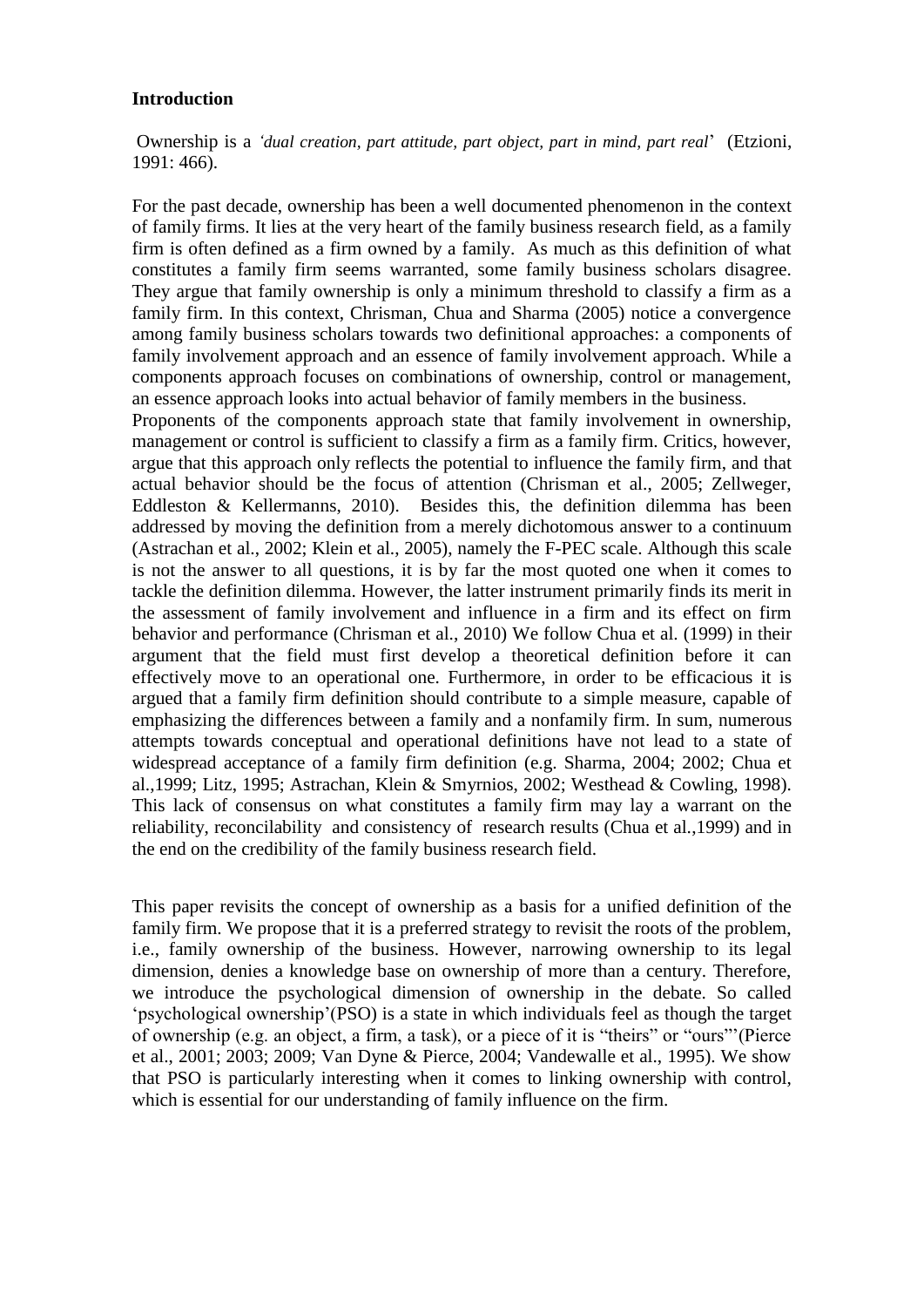### **Introduction**

Ownership is a *'dual creation, part attitude, part object, part in mind, part real*" (Etzioni, 1991: 466).

For the past decade, ownership has been a well documented phenomenon in the context of family firms. It lies at the very heart of the family business research field, as a family firm is often defined as a firm owned by a family. As much as this definition of what constitutes a family firm seems warranted, some family business scholars disagree. They argue that family ownership is only a minimum threshold to classify a firm as a family firm. In this context, Chrisman, Chua and Sharma (2005) notice a convergence among family business scholars towards two definitional approaches: a components of family involvement approach and an essence of family involvement approach. While a components approach focuses on combinations of ownership, control or management, an essence approach looks into actual behavior of family members in the business.

Proponents of the components approach state that family involvement in ownership, management or control is sufficient to classify a firm as a family firm. Critics, however, argue that this approach only reflects the potential to influence the family firm, and that actual behavior should be the focus of attention (Chrisman et al., 2005; Zellweger, Eddleston & Kellermanns, 2010). Besides this, the definition dilemma has been addressed by moving the definition from a merely dichotomous answer to a continuum (Astrachan et al., 2002; Klein et al., 2005), namely the F-PEC scale. Although this scale is not the answer to all questions, it is by far the most quoted one when it comes to tackle the definition dilemma. However, the latter instrument primarily finds its merit in the assessment of family involvement and influence in a firm and its effect on firm behavior and performance (Chrisman et al., 2010) We follow Chua et al. (1999) in their argument that the field must first develop a theoretical definition before it can effectively move to an operational one. Furthermore, in order to be efficacious it is argued that a family firm definition should contribute to a simple measure, capable of emphasizing the differences between a family and a nonfamily firm. In sum, numerous attempts towards conceptual and operational definitions have not lead to a state of widespread acceptance of a family firm definition (e.g. Sharma, 2004; 2002; Chua et al.,1999; Litz, 1995; Astrachan, Klein & Smyrnios, 2002; Westhead & Cowling, 1998). This lack of consensus on what constitutes a family firm may lay a warrant on the reliability, reconcilability and consistency of research results (Chua et al.,1999) and in the end on the credibility of the family business research field.

This paper revisits the concept of ownership as a basis for a unified definition of the family firm. We propose that it is a preferred strategy to revisit the roots of the problem, i.e., family ownership of the business. However, narrowing ownership to its legal dimension, denies a knowledge base on ownership of more than a century. Therefore, we introduce the psychological dimension of ownership in the debate. So called "psychological ownership"(PSO) is a state in which individuals feel as though the target of ownership (e.g. an object, a firm, a task), or a piece of it is "theirs" or "ours""(Pierce et al., 2001; 2003; 2009; Van Dyne & Pierce, 2004; Vandewalle et al., 1995). We show that PSO is particularly interesting when it comes to linking ownership with control, which is essential for our understanding of family influence on the firm.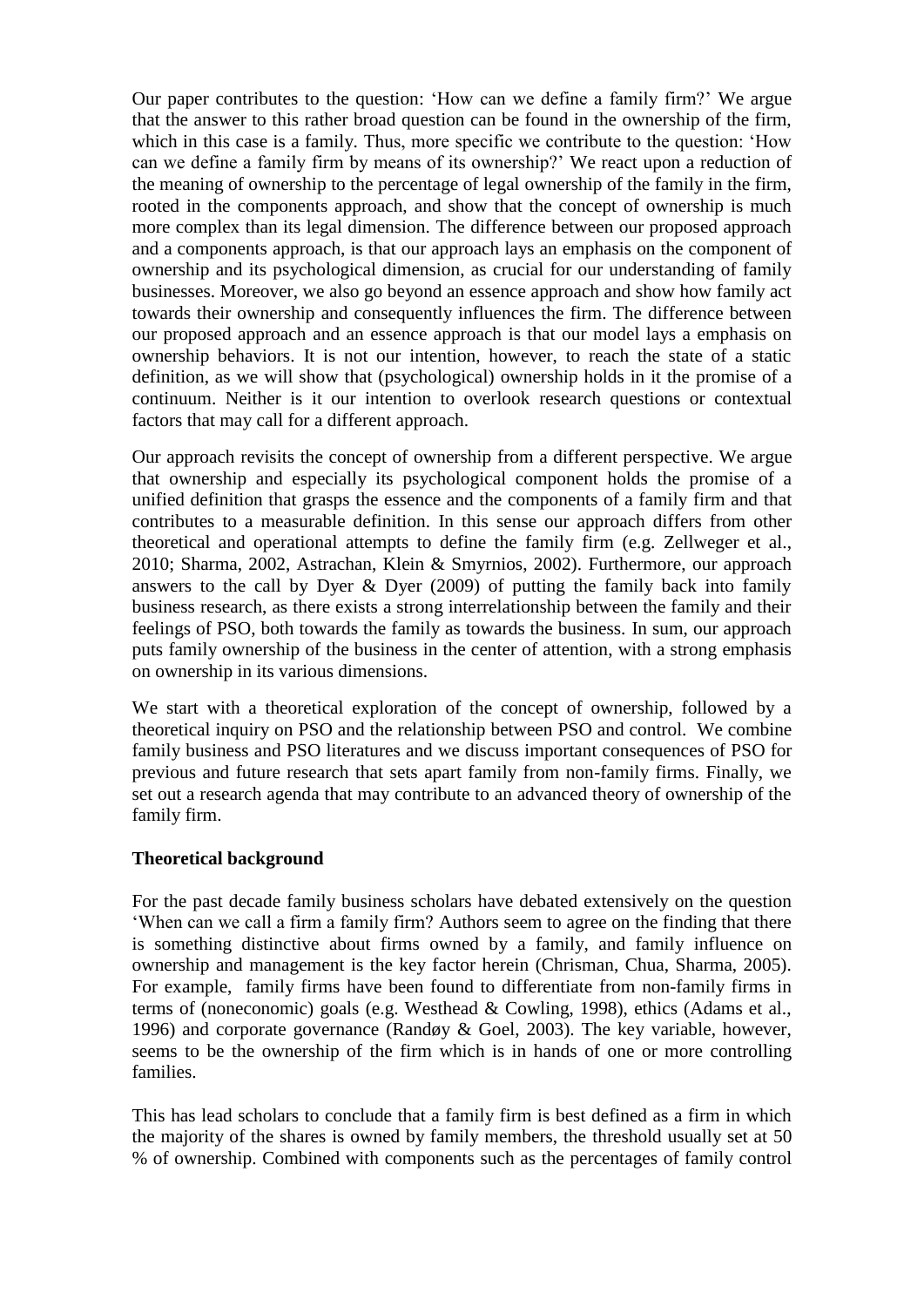Our paper contributes to the question: "How can we define a family firm?" We argue that the answer to this rather broad question can be found in the ownership of the firm, which in this case is a family. Thus, more specific we contribute to the question: "How can we define a family firm by means of its ownership?" We react upon a reduction of the meaning of ownership to the percentage of legal ownership of the family in the firm, rooted in the components approach, and show that the concept of ownership is much more complex than its legal dimension. The difference between our proposed approach and a components approach, is that our approach lays an emphasis on the component of ownership and its psychological dimension, as crucial for our understanding of family businesses. Moreover, we also go beyond an essence approach and show how family act towards their ownership and consequently influences the firm. The difference between our proposed approach and an essence approach is that our model lays a emphasis on ownership behaviors. It is not our intention, however, to reach the state of a static definition, as we will show that (psychological) ownership holds in it the promise of a continuum. Neither is it our intention to overlook research questions or contextual factors that may call for a different approach.

Our approach revisits the concept of ownership from a different perspective. We argue that ownership and especially its psychological component holds the promise of a unified definition that grasps the essence and the components of a family firm and that contributes to a measurable definition. In this sense our approach differs from other theoretical and operational attempts to define the family firm (e.g. Zellweger et al., 2010; Sharma, 2002, Astrachan, Klein & Smyrnios, 2002). Furthermore, our approach answers to the call by Dyer  $\&$  Dyer (2009) of putting the family back into family business research, as there exists a strong interrelationship between the family and their feelings of PSO, both towards the family as towards the business. In sum, our approach puts family ownership of the business in the center of attention, with a strong emphasis on ownership in its various dimensions.

We start with a theoretical exploration of the concept of ownership, followed by a theoretical inquiry on PSO and the relationship between PSO and control. We combine family business and PSO literatures and we discuss important consequences of PSO for previous and future research that sets apart family from non-family firms. Finally, we set out a research agenda that may contribute to an advanced theory of ownership of the family firm.

#### **Theoretical background**

For the past decade family business scholars have debated extensively on the question "When can we call a firm a family firm? Authors seem to agree on the finding that there is something distinctive about firms owned by a family, and family influence on ownership and management is the key factor herein (Chrisman, Chua, Sharma, 2005). For example, family firms have been found to differentiate from non-family firms in terms of (noneconomic) goals (e.g. Westhead & Cowling, 1998), ethics (Adams et al., 1996) and corporate governance (Randøy & Goel, 2003). The key variable, however, seems to be the ownership of the firm which is in hands of one or more controlling families.

This has lead scholars to conclude that a family firm is best defined as a firm in which the majority of the shares is owned by family members, the threshold usually set at 50 % of ownership. Combined with components such as the percentages of family control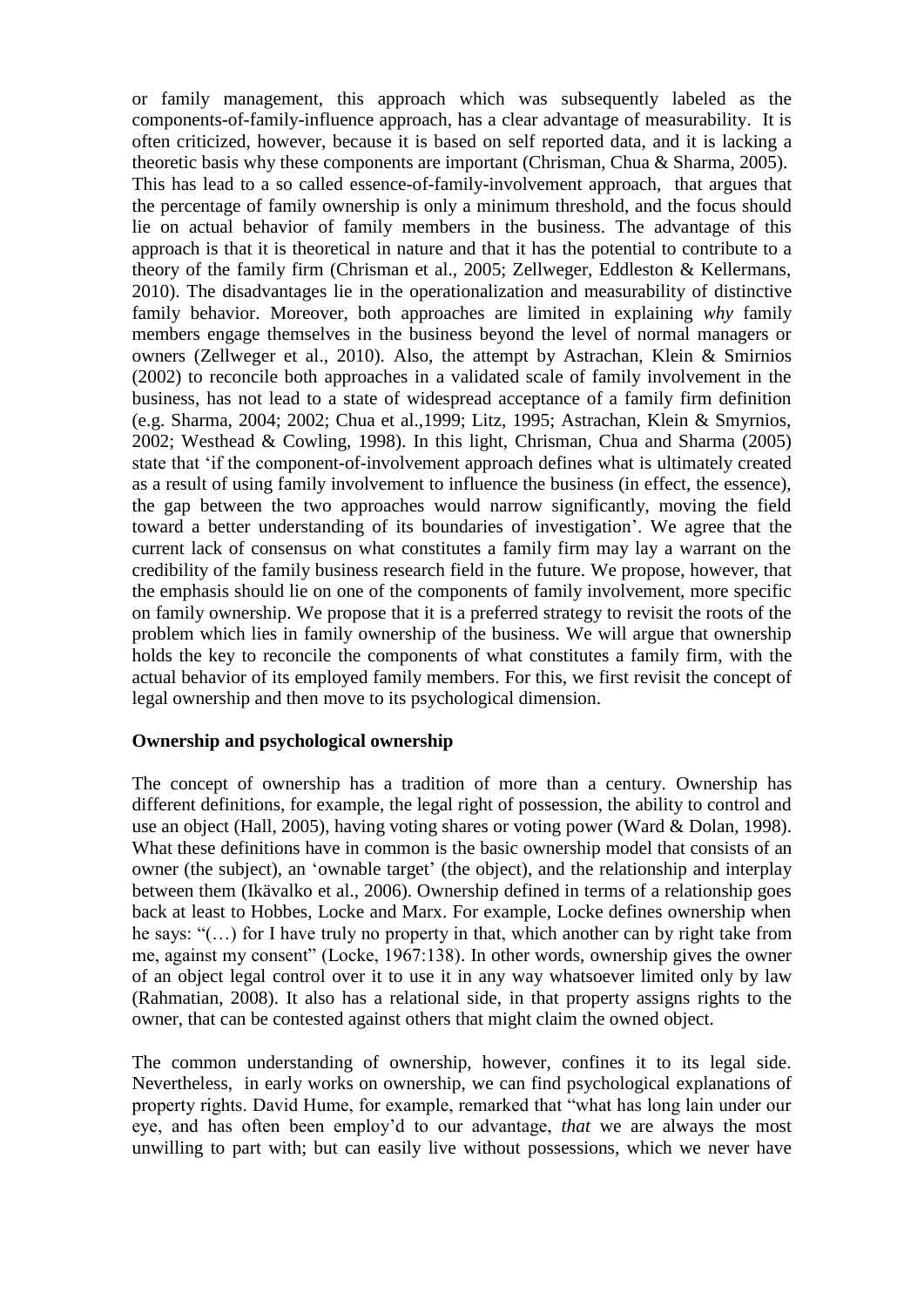or family management, this approach which was subsequently labeled as the components-of-family-influence approach, has a clear advantage of measurability. It is often criticized, however, because it is based on self reported data, and it is lacking a theoretic basis why these components are important (Chrisman, Chua & Sharma, 2005). This has lead to a so called essence-of-family-involvement approach, that argues that the percentage of family ownership is only a minimum threshold, and the focus should lie on actual behavior of family members in the business. The advantage of this approach is that it is theoretical in nature and that it has the potential to contribute to a theory of the family firm (Chrisman et al., 2005; Zellweger, Eddleston & Kellermans, 2010). The disadvantages lie in the operationalization and measurability of distinctive family behavior. Moreover, both approaches are limited in explaining *why* family members engage themselves in the business beyond the level of normal managers or owners (Zellweger et al., 2010). Also, the attempt by Astrachan, Klein & Smirnios (2002) to reconcile both approaches in a validated scale of family involvement in the business, has not lead to a state of widespread acceptance of a family firm definition (e.g. Sharma, 2004; 2002; Chua et al.,1999; Litz, 1995; Astrachan, Klein & Smyrnios, 2002; Westhead & Cowling, 1998). In this light, Chrisman, Chua and Sharma (2005) state that "if the component-of-involvement approach defines what is ultimately created as a result of using family involvement to influence the business (in effect, the essence), the gap between the two approaches would narrow significantly, moving the field toward a better understanding of its boundaries of investigation". We agree that the current lack of consensus on what constitutes a family firm may lay a warrant on the credibility of the family business research field in the future. We propose, however, that the emphasis should lie on one of the components of family involvement, more specific on family ownership. We propose that it is a preferred strategy to revisit the roots of the problem which lies in family ownership of the business. We will argue that ownership holds the key to reconcile the components of what constitutes a family firm, with the actual behavior of its employed family members. For this, we first revisit the concept of legal ownership and then move to its psychological dimension.

#### **Ownership and psychological ownership**

The concept of ownership has a tradition of more than a century. Ownership has different definitions, for example, the legal right of possession, the ability to control and use an object (Hall, 2005), having voting shares or voting power (Ward & Dolan, 1998). What these definitions have in common is the basic ownership model that consists of an owner (the subject), an "ownable target" (the object), and the relationship and interplay between them (Ikävalko et al., 2006). Ownership defined in terms of a relationship goes back at least to Hobbes, Locke and Marx. For example, Locke defines ownership when he says: "(…) for I have truly no property in that, which another can by right take from me, against my consent" (Locke, 1967:138). In other words, ownership gives the owner of an object legal control over it to use it in any way whatsoever limited only by law (Rahmatian, 2008). It also has a relational side, in that property assigns rights to the owner, that can be contested against others that might claim the owned object.

The common understanding of ownership, however, confines it to its legal side. Nevertheless, in early works on ownership, we can find psychological explanations of property rights. David Hume, for example, remarked that "what has long lain under our eye, and has often been employ"d to our advantage, *that* we are always the most unwilling to part with; but can easily live without possessions, which we never have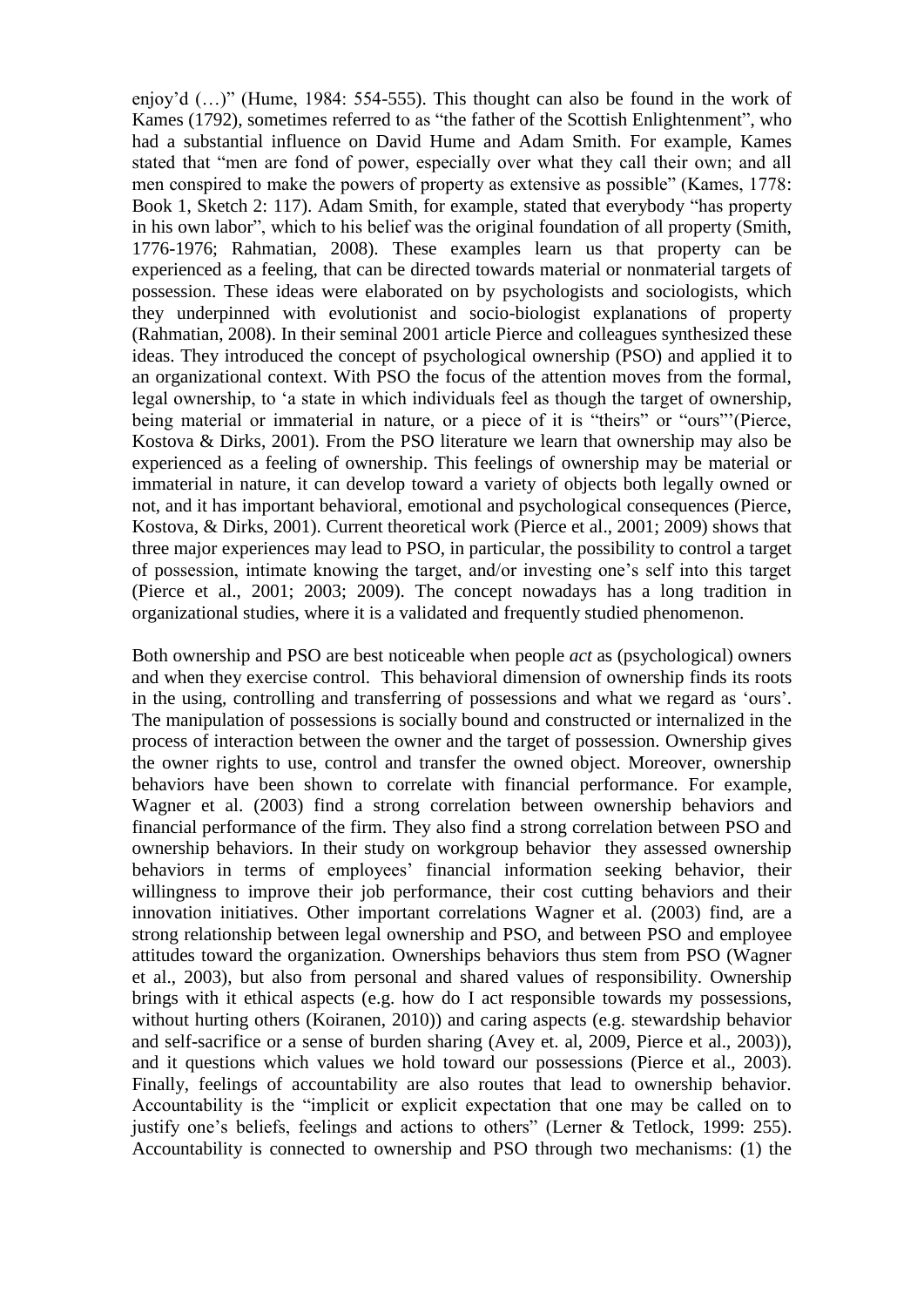enjoy"d (…)" (Hume, 1984: 554-555). This thought can also be found in the work of Kames (1792), sometimes referred to as "the father of the Scottish Enlightenment", who had a substantial influence on David Hume and Adam Smith. For example, Kames stated that "men are fond of power, especially over what they call their own; and all men conspired to make the powers of property as extensive as possible" (Kames, 1778: Book 1, Sketch 2: 117). Adam Smith, for example, stated that everybody "has property in his own labor", which to his belief was the original foundation of all property (Smith, 1776-1976; Rahmatian, 2008). These examples learn us that property can be experienced as a feeling, that can be directed towards material or nonmaterial targets of possession. These ideas were elaborated on by psychologists and sociologists, which they underpinned with evolutionist and socio-biologist explanations of property (Rahmatian, 2008). In their seminal 2001 article Pierce and colleagues synthesized these ideas. They introduced the concept of psychological ownership (PSO) and applied it to an organizational context. With PSO the focus of the attention moves from the formal, legal ownership, to "a state in which individuals feel as though the target of ownership, being material or immaterial in nature, or a piece of it is "theirs" or "ours""(Pierce, Kostova & Dirks, 2001). From the PSO literature we learn that ownership may also be experienced as a feeling of ownership. This feelings of ownership may be material or immaterial in nature, it can develop toward a variety of objects both legally owned or not, and it has important behavioral, emotional and psychological consequences (Pierce, Kostova, & Dirks, 2001). Current theoretical work (Pierce et al., 2001; 2009) shows that three major experiences may lead to PSO, in particular, the possibility to control a target of possession, intimate knowing the target, and/or investing one"s self into this target (Pierce et al., 2001; 2003; 2009). The concept nowadays has a long tradition in organizational studies, where it is a validated and frequently studied phenomenon.

Both ownership and PSO are best noticeable when people *act* as (psychological) owners and when they exercise control. This behavioral dimension of ownership finds its roots in the using, controlling and transferring of possessions and what we regard as "ours". The manipulation of possessions is socially bound and constructed or internalized in the process of interaction between the owner and the target of possession. Ownership gives the owner rights to use, control and transfer the owned object. Moreover, ownership behaviors have been shown to correlate with financial performance. For example, Wagner et al. (2003) find a strong correlation between ownership behaviors and financial performance of the firm. They also find a strong correlation between PSO and ownership behaviors. In their study on workgroup behavior they assessed ownership behaviors in terms of employees' financial information seeking behavior, their willingness to improve their job performance, their cost cutting behaviors and their innovation initiatives. Other important correlations Wagner et al. (2003) find, are a strong relationship between legal ownership and PSO, and between PSO and employee attitudes toward the organization. Ownerships behaviors thus stem from PSO (Wagner et al., 2003), but also from personal and shared values of responsibility. Ownership brings with it ethical aspects (e.g. how do I act responsible towards my possessions, without hurting others (Koiranen, 2010)) and caring aspects (e.g. stewardship behavior and self-sacrifice or a sense of burden sharing (Avey et. al, 2009, Pierce et al., 2003)), and it questions which values we hold toward our possessions (Pierce et al., 2003). Finally, feelings of accountability are also routes that lead to ownership behavior. Accountability is the "implicit or explicit expectation that one may be called on to justify one's beliefs, feelings and actions to others" (Lerner & Tetlock, 1999: 255). Accountability is connected to ownership and PSO through two mechanisms: (1) the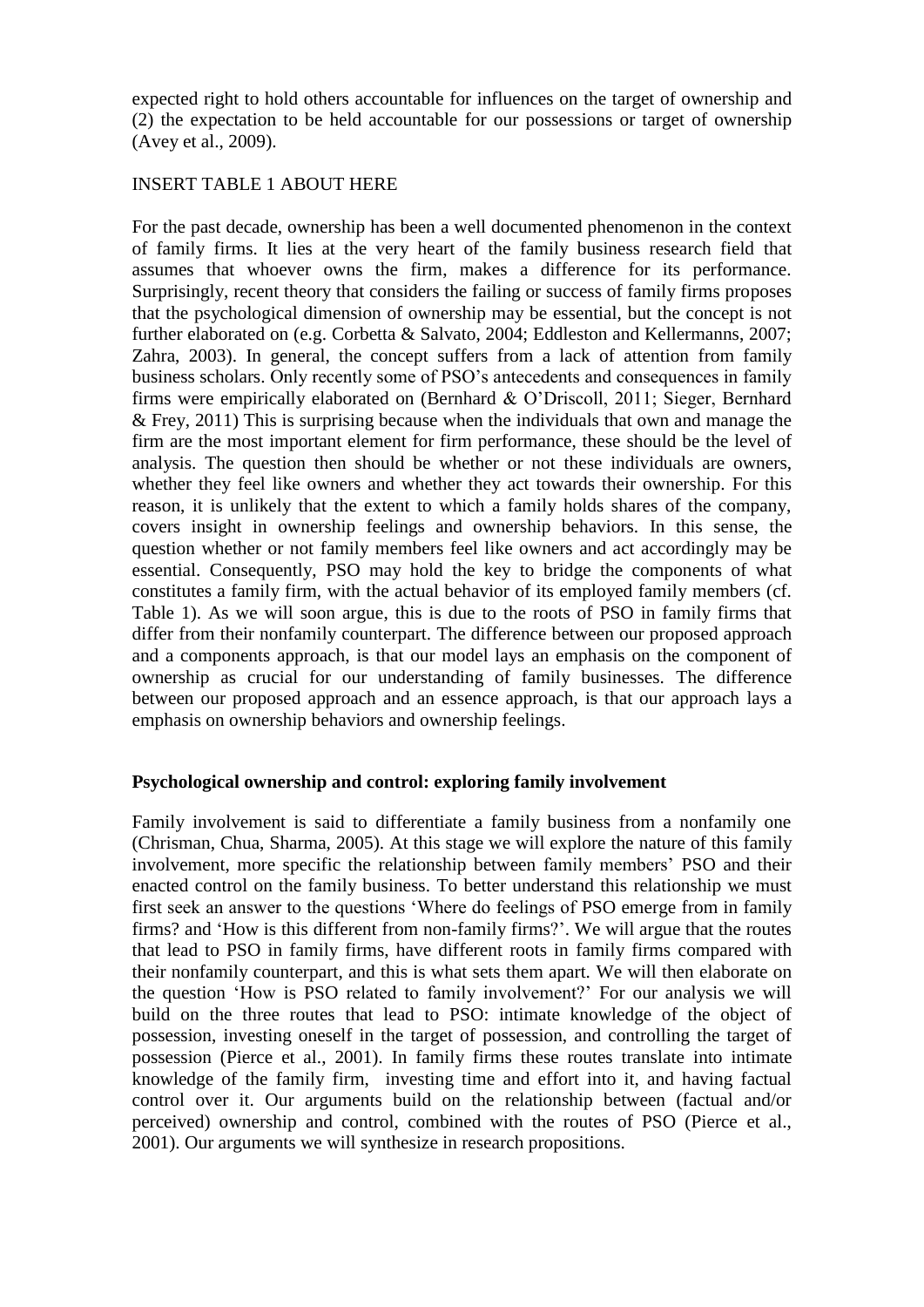expected right to hold others accountable for influences on the target of ownership and (2) the expectation to be held accountable for our possessions or target of ownership (Avey et al., 2009).

#### INSERT TABLE 1 ABOUT HERE

For the past decade, ownership has been a well documented phenomenon in the context of family firms. It lies at the very heart of the family business research field that assumes that whoever owns the firm, makes a difference for its performance. Surprisingly, recent theory that considers the failing or success of family firms proposes that the psychological dimension of ownership may be essential, but the concept is not further elaborated on (e.g. Corbetta & Salvato, 2004; Eddleston and Kellermanns, 2007; Zahra, 2003). In general, the concept suffers from a lack of attention from family business scholars. Only recently some of PSO"s antecedents and consequences in family firms were empirically elaborated on (Bernhard & O"Driscoll, 2011; Sieger, Bernhard & Frey, 2011) This is surprising because when the individuals that own and manage the firm are the most important element for firm performance, these should be the level of analysis. The question then should be whether or not these individuals are owners, whether they feel like owners and whether they act towards their ownership. For this reason, it is unlikely that the extent to which a family holds shares of the company, covers insight in ownership feelings and ownership behaviors. In this sense, the question whether or not family members feel like owners and act accordingly may be essential. Consequently, PSO may hold the key to bridge the components of what constitutes a family firm, with the actual behavior of its employed family members (cf. Table 1). As we will soon argue, this is due to the roots of PSO in family firms that differ from their nonfamily counterpart. The difference between our proposed approach and a components approach, is that our model lays an emphasis on the component of ownership as crucial for our understanding of family businesses. The difference between our proposed approach and an essence approach, is that our approach lays a emphasis on ownership behaviors and ownership feelings.

#### **Psychological ownership and control: exploring family involvement**

Family involvement is said to differentiate a family business from a nonfamily one (Chrisman, Chua, Sharma, 2005). At this stage we will explore the nature of this family involvement, more specific the relationship between family members' PSO and their enacted control on the family business. To better understand this relationship we must first seek an answer to the questions "Where do feelings of PSO emerge from in family firms? and "How is this different from non-family firms?". We will argue that the routes that lead to PSO in family firms, have different roots in family firms compared with their nonfamily counterpart, and this is what sets them apart. We will then elaborate on the question "How is PSO related to family involvement?" For our analysis we will build on the three routes that lead to PSO: intimate knowledge of the object of possession, investing oneself in the target of possession, and controlling the target of possession (Pierce et al., 2001). In family firms these routes translate into intimate knowledge of the family firm, investing time and effort into it, and having factual control over it. Our arguments build on the relationship between (factual and/or perceived) ownership and control, combined with the routes of PSO (Pierce et al., 2001). Our arguments we will synthesize in research propositions.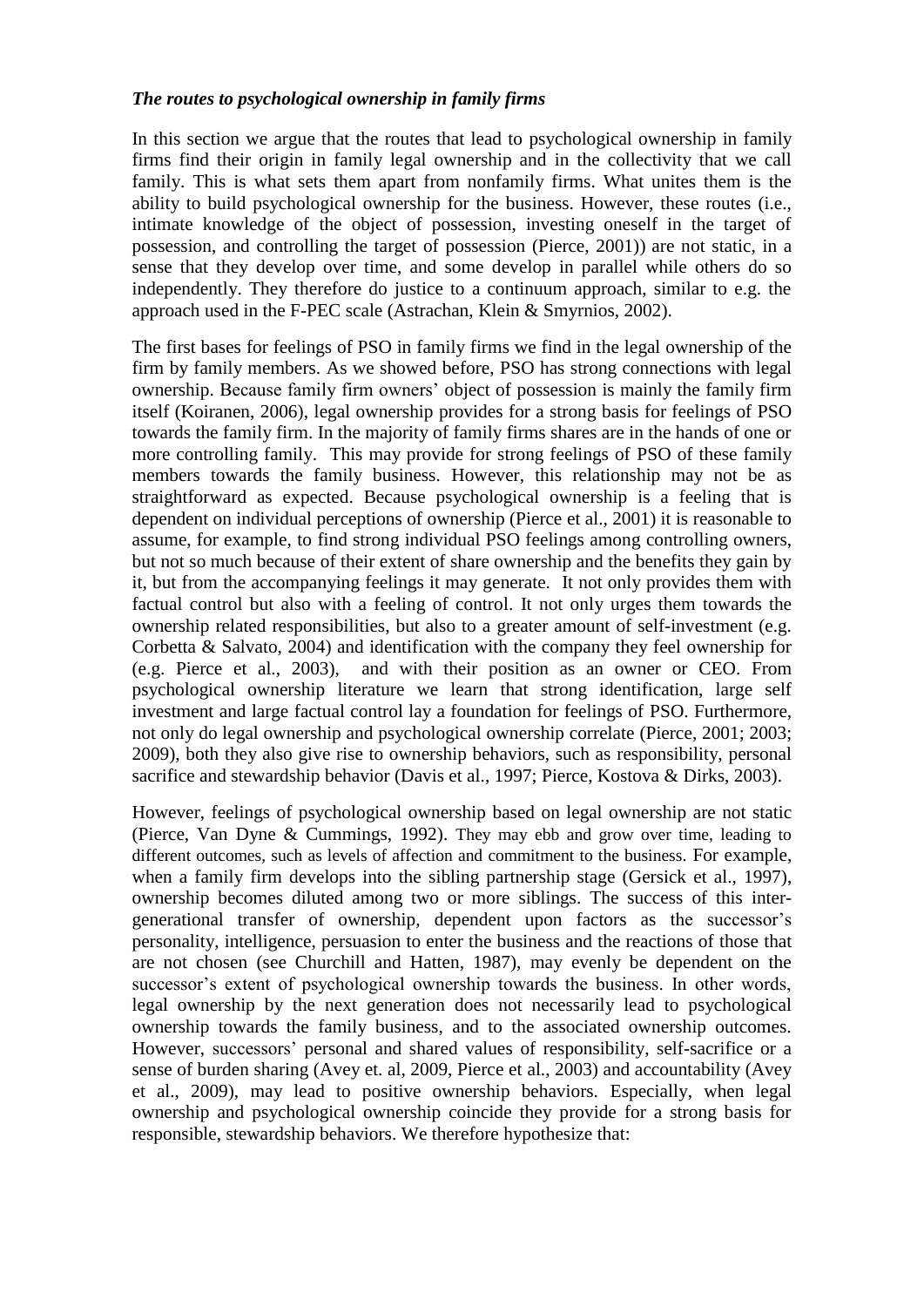## *The routes to psychological ownership in family firms*

In this section we argue that the routes that lead to psychological ownership in family firms find their origin in family legal ownership and in the collectivity that we call family. This is what sets them apart from nonfamily firms. What unites them is the ability to build psychological ownership for the business. However, these routes (i.e., intimate knowledge of the object of possession, investing oneself in the target of possession, and controlling the target of possession (Pierce, 2001)) are not static, in a sense that they develop over time, and some develop in parallel while others do so independently. They therefore do justice to a continuum approach, similar to e.g. the approach used in the F-PEC scale (Astrachan, Klein & Smyrnios, 2002).

The first bases for feelings of PSO in family firms we find in the legal ownership of the firm by family members. As we showed before, PSO has strong connections with legal ownership. Because family firm owners" object of possession is mainly the family firm itself (Koiranen, 2006), legal ownership provides for a strong basis for feelings of PSO towards the family firm. In the majority of family firms shares are in the hands of one or more controlling family. This may provide for strong feelings of PSO of these family members towards the family business. However, this relationship may not be as straightforward as expected. Because psychological ownership is a feeling that is dependent on individual perceptions of ownership (Pierce et al., 2001) it is reasonable to assume, for example, to find strong individual PSO feelings among controlling owners, but not so much because of their extent of share ownership and the benefits they gain by it, but from the accompanying feelings it may generate. It not only provides them with factual control but also with a feeling of control. It not only urges them towards the ownership related responsibilities, but also to a greater amount of self-investment (e.g. Corbetta & Salvato, 2004) and identification with the company they feel ownership for (e.g. Pierce et al., 2003), and with their position as an owner or CEO. From psychological ownership literature we learn that strong identification, large self investment and large factual control lay a foundation for feelings of PSO. Furthermore, not only do legal ownership and psychological ownership correlate (Pierce, 2001; 2003; 2009), both they also give rise to ownership behaviors, such as responsibility, personal sacrifice and stewardship behavior (Davis et al., 1997; Pierce, Kostova & Dirks, 2003).

However, feelings of psychological ownership based on legal ownership are not static (Pierce, Van Dyne & Cummings, 1992). They may ebb and grow over time, leading to different outcomes, such as levels of affection and commitment to the business. For example, when a family firm develops into the sibling partnership stage (Gersick et al., 1997), ownership becomes diluted among two or more siblings. The success of this intergenerational transfer of ownership, dependent upon factors as the successor"s personality, intelligence, persuasion to enter the business and the reactions of those that are not chosen (see Churchill and Hatten, 1987), may evenly be dependent on the successor's extent of psychological ownership towards the business. In other words, legal ownership by the next generation does not necessarily lead to psychological ownership towards the family business, and to the associated ownership outcomes. However, successors" personal and shared values of responsibility, self-sacrifice or a sense of burden sharing (Avey et. al, 2009, Pierce et al., 2003) and accountability (Avey et al., 2009), may lead to positive ownership behaviors. Especially, when legal ownership and psychological ownership coincide they provide for a strong basis for responsible, stewardship behaviors. We therefore hypothesize that: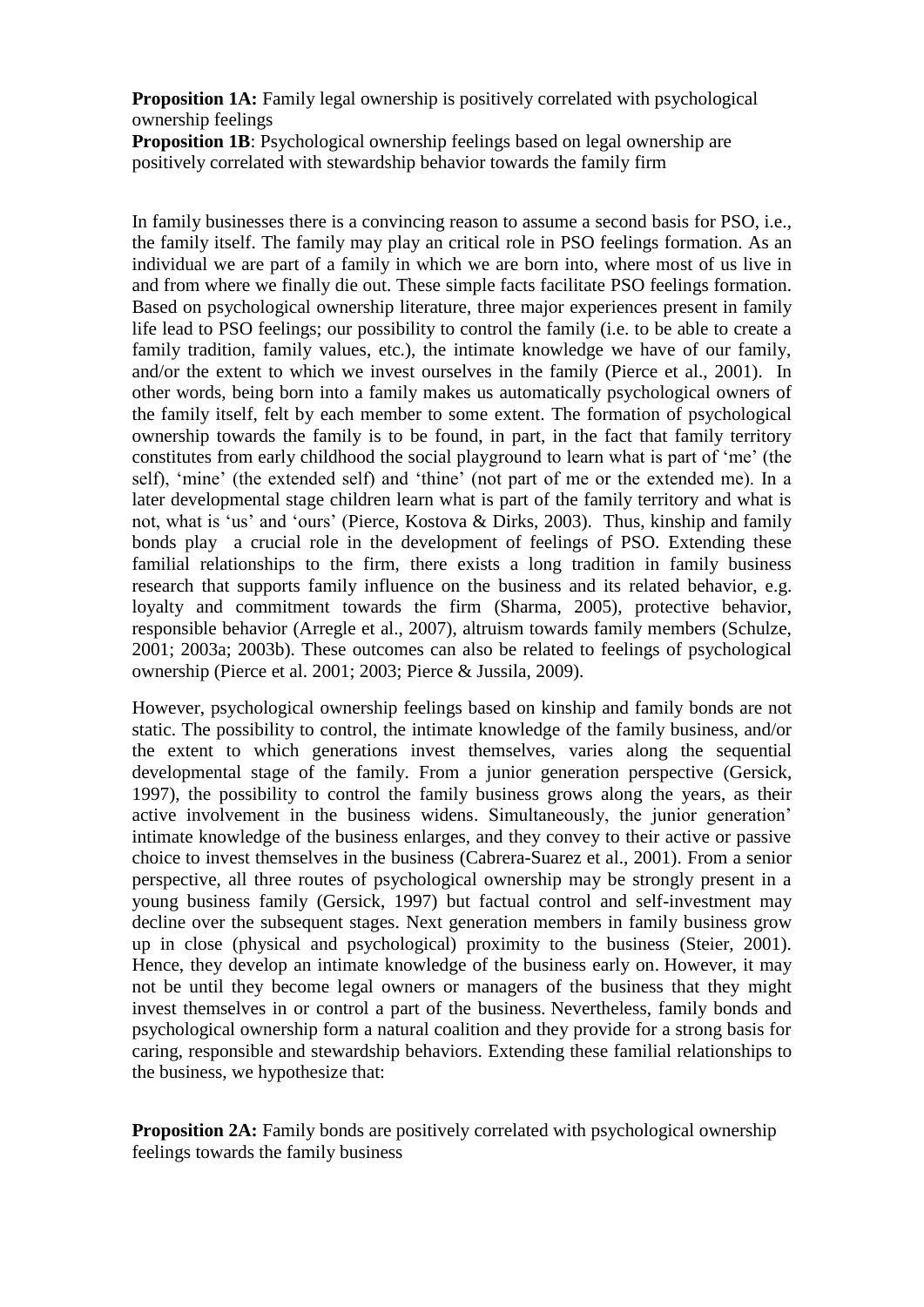**Proposition 1A:** Family legal ownership is positively correlated with psychological ownership feelings

**Proposition 1B**: Psychological ownership feelings based on legal ownership are positively correlated with stewardship behavior towards the family firm

In family businesses there is a convincing reason to assume a second basis for PSO, i.e., the family itself. The family may play an critical role in PSO feelings formation. As an individual we are part of a family in which we are born into, where most of us live in and from where we finally die out. These simple facts facilitate PSO feelings formation. Based on psychological ownership literature, three major experiences present in family life lead to PSO feelings; our possibility to control the family (i.e. to be able to create a family tradition, family values, etc.), the intimate knowledge we have of our family, and/or the extent to which we invest ourselves in the family (Pierce et al., 2001). In other words, being born into a family makes us automatically psychological owners of the family itself, felt by each member to some extent. The formation of psychological ownership towards the family is to be found, in part, in the fact that family territory constitutes from early childhood the social playground to learn what is part of "me" (the self), 'mine' (the extended self) and 'thine' (not part of me or the extended me). In a later developmental stage children learn what is part of the family territory and what is not, what is "us" and "ours" (Pierce, Kostova & Dirks, 2003). Thus, kinship and family bonds play a crucial role in the development of feelings of PSO. Extending these familial relationships to the firm, there exists a long tradition in family business research that supports family influence on the business and its related behavior, e.g. loyalty and commitment towards the firm (Sharma, 2005), protective behavior, responsible behavior (Arregle et al., 2007), altruism towards family members (Schulze, 2001; 2003a; 2003b). These outcomes can also be related to feelings of psychological ownership (Pierce et al. 2001; 2003; Pierce & Jussila, 2009).

However, psychological ownership feelings based on kinship and family bonds are not static. The possibility to control, the intimate knowledge of the family business, and/or the extent to which generations invest themselves, varies along the sequential developmental stage of the family. From a junior generation perspective (Gersick, 1997), the possibility to control the family business grows along the years, as their active involvement in the business widens. Simultaneously, the junior generation" intimate knowledge of the business enlarges, and they convey to their active or passive choice to invest themselves in the business (Cabrera-Suarez et al., 2001). From a senior perspective, all three routes of psychological ownership may be strongly present in a young business family (Gersick, 1997) but factual control and self-investment may decline over the subsequent stages. Next generation members in family business grow up in close (physical and psychological) proximity to the business (Steier, 2001). Hence, they develop an intimate knowledge of the business early on. However, it may not be until they become legal owners or managers of the business that they might invest themselves in or control a part of the business. Nevertheless, family bonds and psychological ownership form a natural coalition and they provide for a strong basis for caring, responsible and stewardship behaviors. Extending these familial relationships to the business, we hypothesize that:

**Proposition 2A:** Family bonds are positively correlated with psychological ownership feelings towards the family business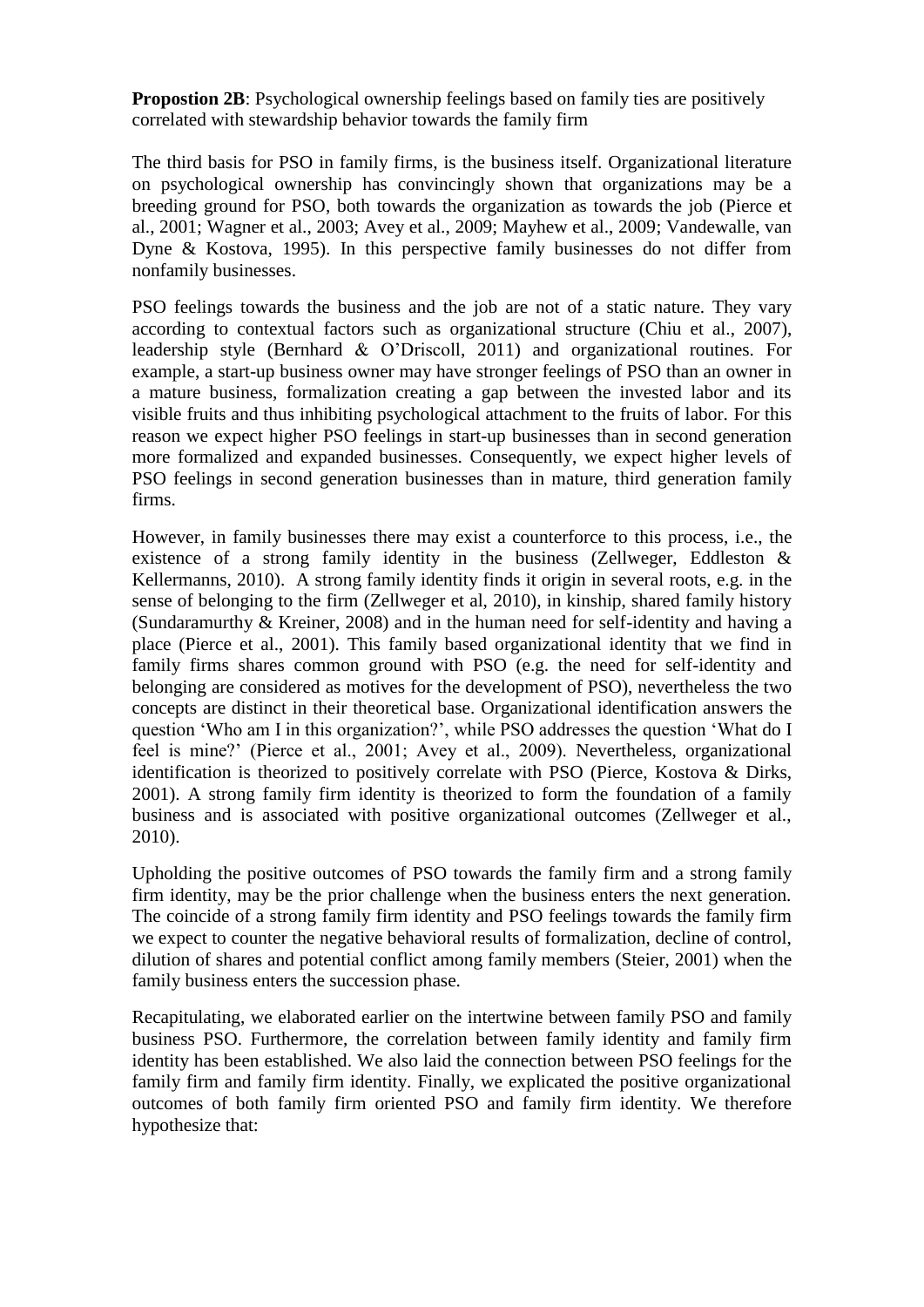**Propostion 2B**: Psychological ownership feelings based on family ties are positively correlated with stewardship behavior towards the family firm

The third basis for PSO in family firms, is the business itself. Organizational literature on psychological ownership has convincingly shown that organizations may be a breeding ground for PSO, both towards the organization as towards the job (Pierce et al., 2001; Wagner et al., 2003; Avey et al., 2009; Mayhew et al., 2009; Vandewalle, van Dyne & Kostova, 1995). In this perspective family businesses do not differ from nonfamily businesses.

PSO feelings towards the business and the job are not of a static nature. They vary according to contextual factors such as organizational structure (Chiu et al., 2007), leadership style (Bernhard & O"Driscoll, 2011) and organizational routines. For example, a start-up business owner may have stronger feelings of PSO than an owner in a mature business, formalization creating a gap between the invested labor and its visible fruits and thus inhibiting psychological attachment to the fruits of labor. For this reason we expect higher PSO feelings in start-up businesses than in second generation more formalized and expanded businesses. Consequently, we expect higher levels of PSO feelings in second generation businesses than in mature, third generation family firms.

However, in family businesses there may exist a counterforce to this process, i.e., the existence of a strong family identity in the business (Zellweger, Eddleston & Kellermanns, 2010). A strong family identity finds it origin in several roots, e.g. in the sense of belonging to the firm (Zellweger et al, 2010), in kinship, shared family history (Sundaramurthy & Kreiner, 2008) and in the human need for self-identity and having a place (Pierce et al., 2001). This family based organizational identity that we find in family firms shares common ground with PSO (e.g. the need for self-identity and belonging are considered as motives for the development of PSO), nevertheless the two concepts are distinct in their theoretical base. Organizational identification answers the question "Who am I in this organization?", while PSO addresses the question "What do I feel is mine?" (Pierce et al., 2001; Avey et al., 2009). Nevertheless, organizational identification is theorized to positively correlate with PSO (Pierce, Kostova & Dirks, 2001). A strong family firm identity is theorized to form the foundation of a family business and is associated with positive organizational outcomes (Zellweger et al., 2010).

Upholding the positive outcomes of PSO towards the family firm and a strong family firm identity, may be the prior challenge when the business enters the next generation. The coincide of a strong family firm identity and PSO feelings towards the family firm we expect to counter the negative behavioral results of formalization, decline of control, dilution of shares and potential conflict among family members (Steier, 2001) when the family business enters the succession phase.

Recapitulating, we elaborated earlier on the intertwine between family PSO and family business PSO. Furthermore, the correlation between family identity and family firm identity has been established. We also laid the connection between PSO feelings for the family firm and family firm identity. Finally, we explicated the positive organizational outcomes of both family firm oriented PSO and family firm identity. We therefore hypothesize that: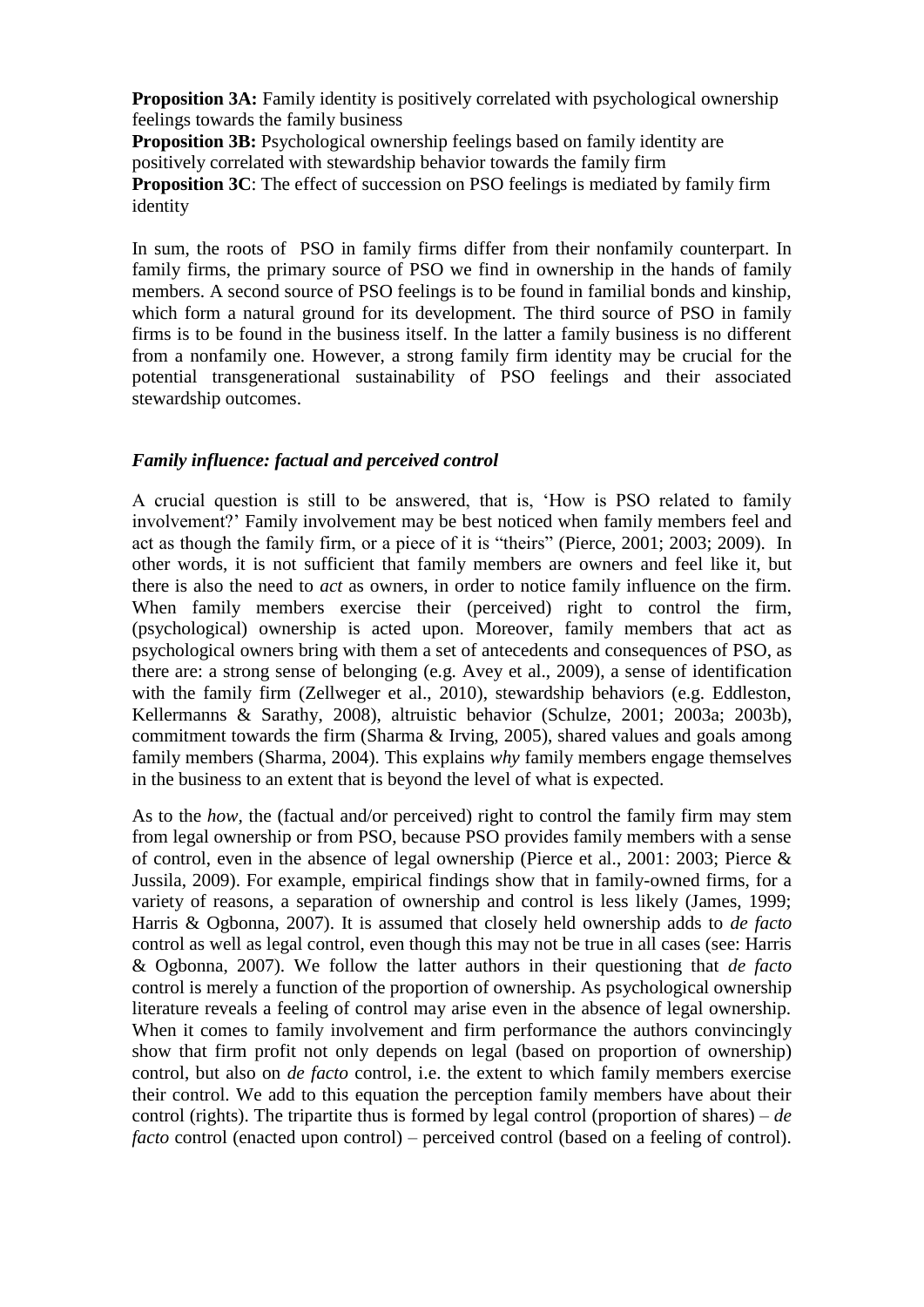**Proposition 3A:** Family identity is positively correlated with psychological ownership feelings towards the family business

**Proposition 3B:** Psychological ownership feelings based on family identity are positively correlated with stewardship behavior towards the family firm **Proposition 3C**: The effect of succession on PSO feelings is mediated by family firm identity

In sum, the roots of PSO in family firms differ from their nonfamily counterpart. In family firms, the primary source of PSO we find in ownership in the hands of family members. A second source of PSO feelings is to be found in familial bonds and kinship, which form a natural ground for its development. The third source of PSO in family firms is to be found in the business itself. In the latter a family business is no different from a nonfamily one. However, a strong family firm identity may be crucial for the potential transgenerational sustainability of PSO feelings and their associated stewardship outcomes.

## *Family influence: factual and perceived control*

A crucial question is still to be answered, that is, "How is PSO related to family involvement?" Family involvement may be best noticed when family members feel and act as though the family firm, or a piece of it is "theirs" (Pierce, 2001; 2003; 2009). In other words, it is not sufficient that family members are owners and feel like it, but there is also the need to *act* as owners, in order to notice family influence on the firm. When family members exercise their (perceived) right to control the firm, (psychological) ownership is acted upon. Moreover, family members that act as psychological owners bring with them a set of antecedents and consequences of PSO, as there are: a strong sense of belonging (e.g. Avey et al., 2009), a sense of identification with the family firm (Zellweger et al., 2010), stewardship behaviors (e.g. Eddleston, Kellermanns & Sarathy, 2008), altruistic behavior (Schulze, 2001; 2003a; 2003b), commitment towards the firm (Sharma & Irving, 2005), shared values and goals among family members (Sharma, 2004). This explains *why* family members engage themselves in the business to an extent that is beyond the level of what is expected.

As to the *how,* the (factual and/or perceived) right to control the family firm may stem from legal ownership or from PSO, because PSO provides family members with a sense of control, even in the absence of legal ownership (Pierce et al., 2001: 2003; Pierce & Jussila, 2009). For example, empirical findings show that in family-owned firms, for a variety of reasons, a separation of ownership and control is less likely (James, 1999; Harris & Ogbonna, 2007). It is assumed that closely held ownership adds to *de facto* control as well as legal control, even though this may not be true in all cases (see: Harris & Ogbonna, 2007). We follow the latter authors in their questioning that *de facto* control is merely a function of the proportion of ownership. As psychological ownership literature reveals a feeling of control may arise even in the absence of legal ownership. When it comes to family involvement and firm performance the authors convincingly show that firm profit not only depends on legal (based on proportion of ownership) control, but also on *de facto* control, i.e. the extent to which family members exercise their control. We add to this equation the perception family members have about their control (rights). The tripartite thus is formed by legal control (proportion of shares) – *de facto* control (enacted upon control) – perceived control (based on a feeling of control).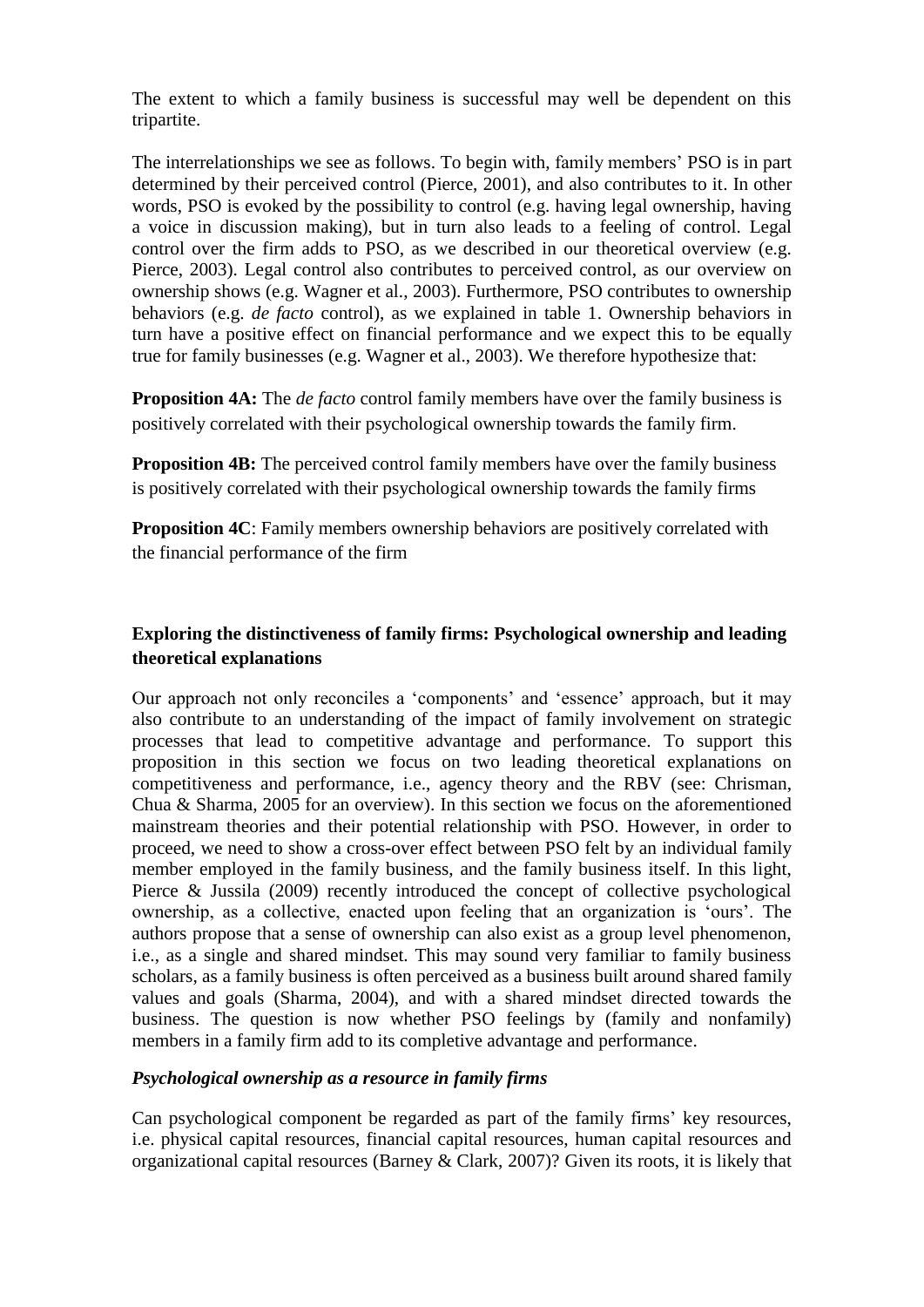The extent to which a family business is successful may well be dependent on this tripartite.

The interrelationships we see as follows. To begin with, family members' PSO is in part determined by their perceived control (Pierce, 2001), and also contributes to it. In other words, PSO is evoked by the possibility to control (e.g. having legal ownership, having a voice in discussion making), but in turn also leads to a feeling of control. Legal control over the firm adds to PSO, as we described in our theoretical overview (e.g. Pierce, 2003). Legal control also contributes to perceived control, as our overview on ownership shows (e.g. Wagner et al., 2003). Furthermore, PSO contributes to ownership behaviors (e.g. *de facto* control), as we explained in table 1. Ownership behaviors in turn have a positive effect on financial performance and we expect this to be equally true for family businesses (e.g. Wagner et al., 2003). We therefore hypothesize that:

**Proposition 4A:** The *de facto* control family members have over the family business is positively correlated with their psychological ownership towards the family firm.

**Proposition 4B:** The perceived control family members have over the family business is positively correlated with their psychological ownership towards the family firms

**Proposition 4C**: Family members ownership behaviors are positively correlated with the financial performance of the firm

# **Exploring the distinctiveness of family firms: Psychological ownership and leading theoretical explanations**

Our approach not only reconciles a "components" and "essence" approach, but it may also contribute to an understanding of the impact of family involvement on strategic processes that lead to competitive advantage and performance. To support this proposition in this section we focus on two leading theoretical explanations on competitiveness and performance, i.e., agency theory and the RBV (see: Chrisman, Chua & Sharma, 2005 for an overview). In this section we focus on the aforementioned mainstream theories and their potential relationship with PSO. However, in order to proceed, we need to show a cross-over effect between PSO felt by an individual family member employed in the family business, and the family business itself. In this light, Pierce & Jussila (2009) recently introduced the concept of collective psychological ownership, as a collective, enacted upon feeling that an organization is "ours". The authors propose that a sense of ownership can also exist as a group level phenomenon, i.e., as a single and shared mindset. This may sound very familiar to family business scholars, as a family business is often perceived as a business built around shared family values and goals (Sharma, 2004), and with a shared mindset directed towards the business. The question is now whether PSO feelings by (family and nonfamily) members in a family firm add to its completive advantage and performance.

## *Psychological ownership as a resource in family firms*

Can psychological component be regarded as part of the family firms' key resources, i.e. physical capital resources, financial capital resources, human capital resources and organizational capital resources (Barney & Clark, 2007)? Given its roots, it is likely that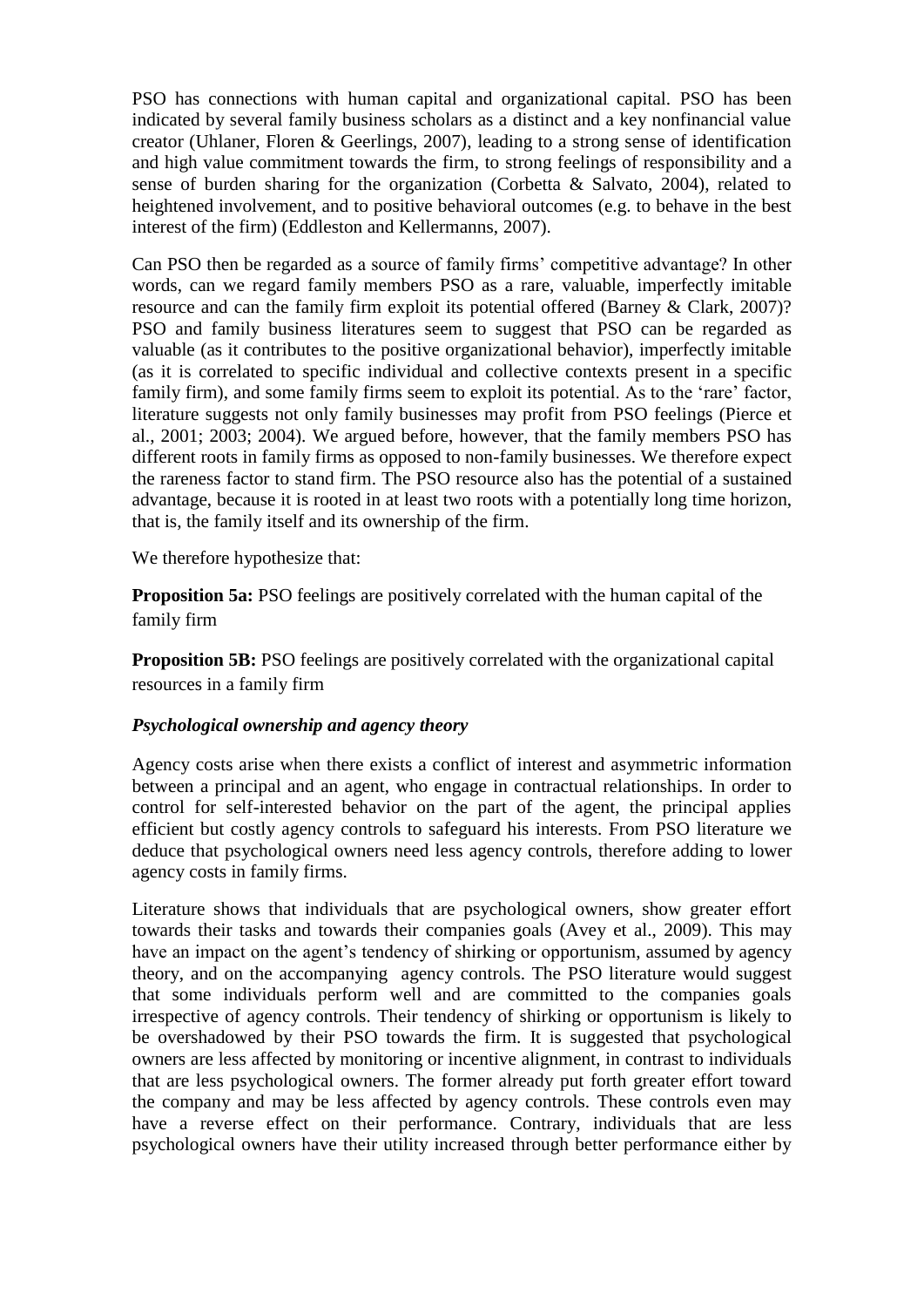PSO has connections with human capital and organizational capital. PSO has been indicated by several family business scholars as a distinct and a key nonfinancial value creator (Uhlaner, Floren & Geerlings, 2007), leading to a strong sense of identification and high value commitment towards the firm, to strong feelings of responsibility and a sense of burden sharing for the organization (Corbetta & Salvato, 2004), related to heightened involvement, and to positive behavioral outcomes (e.g. to behave in the best interest of the firm) (Eddleston and Kellermanns, 2007).

Can PSO then be regarded as a source of family firms" competitive advantage? In other words, can we regard family members PSO as a rare, valuable, imperfectly imitable resource and can the family firm exploit its potential offered (Barney & Clark, 2007)? PSO and family business literatures seem to suggest that PSO can be regarded as valuable (as it contributes to the positive organizational behavior), imperfectly imitable (as it is correlated to specific individual and collective contexts present in a specific family firm), and some family firms seem to exploit its potential. As to the 'rare' factor, literature suggests not only family businesses may profit from PSO feelings (Pierce et al., 2001; 2003; 2004). We argued before, however, that the family members PSO has different roots in family firms as opposed to non-family businesses. We therefore expect the rareness factor to stand firm. The PSO resource also has the potential of a sustained advantage, because it is rooted in at least two roots with a potentially long time horizon, that is, the family itself and its ownership of the firm.

We therefore hypothesize that:

**Proposition 5a:** PSO feelings are positively correlated with the human capital of the family firm

**Proposition 5B:** PSO feelings are positively correlated with the organizational capital resources in a family firm

## *Psychological ownership and agency theory*

Agency costs arise when there exists a conflict of interest and asymmetric information between a principal and an agent, who engage in contractual relationships. In order to control for self-interested behavior on the part of the agent, the principal applies efficient but costly agency controls to safeguard his interests. From PSO literature we deduce that psychological owners need less agency controls, therefore adding to lower agency costs in family firms.

Literature shows that individuals that are psychological owners, show greater effort towards their tasks and towards their companies goals (Avey et al., 2009). This may have an impact on the agent's tendency of shirking or opportunism, assumed by agency theory, and on the accompanying agency controls. The PSO literature would suggest that some individuals perform well and are committed to the companies goals irrespective of agency controls. Their tendency of shirking or opportunism is likely to be overshadowed by their PSO towards the firm. It is suggested that psychological owners are less affected by monitoring or incentive alignment, in contrast to individuals that are less psychological owners. The former already put forth greater effort toward the company and may be less affected by agency controls. These controls even may have a reverse effect on their performance. Contrary, individuals that are less psychological owners have their utility increased through better performance either by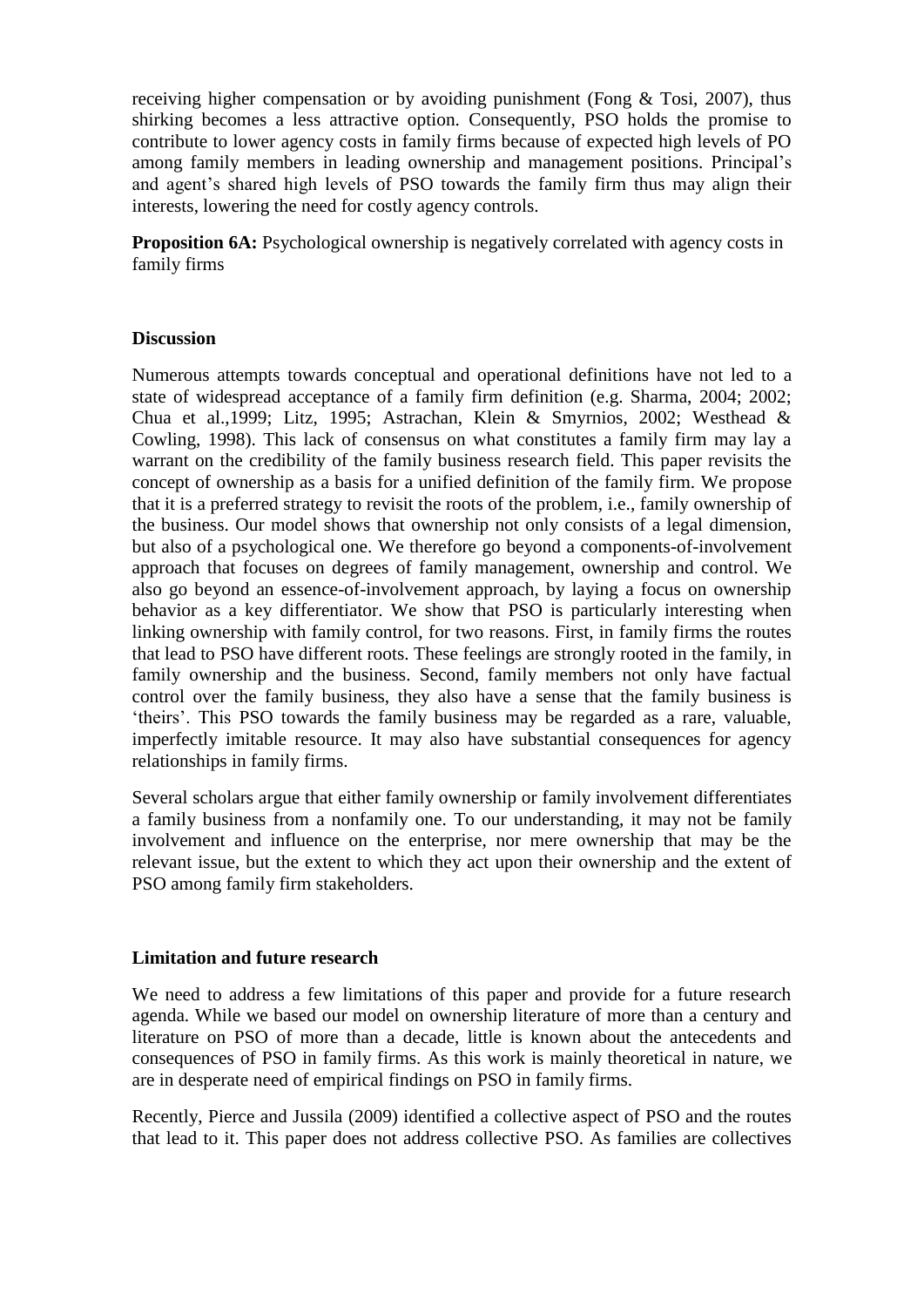receiving higher compensation or by avoiding punishment (Fong & Tosi, 2007), thus shirking becomes a less attractive option. Consequently, PSO holds the promise to contribute to lower agency costs in family firms because of expected high levels of PO among family members in leading ownership and management positions. Principal"s and agent's shared high levels of PSO towards the family firm thus may align their interests, lowering the need for costly agency controls.

**Proposition 6A:** Psychological ownership is negatively correlated with agency costs in family firms

#### **Discussion**

Numerous attempts towards conceptual and operational definitions have not led to a state of widespread acceptance of a family firm definition (e.g. Sharma, 2004; 2002; Chua et al.,1999; Litz, 1995; Astrachan, Klein & Smyrnios, 2002; Westhead & Cowling, 1998). This lack of consensus on what constitutes a family firm may lay a warrant on the credibility of the family business research field. This paper revisits the concept of ownership as a basis for a unified definition of the family firm. We propose that it is a preferred strategy to revisit the roots of the problem, i.e., family ownership of the business. Our model shows that ownership not only consists of a legal dimension, but also of a psychological one. We therefore go beyond a components-of-involvement approach that focuses on degrees of family management, ownership and control. We also go beyond an essence-of-involvement approach, by laying a focus on ownership behavior as a key differentiator. We show that PSO is particularly interesting when linking ownership with family control, for two reasons. First, in family firms the routes that lead to PSO have different roots. These feelings are strongly rooted in the family, in family ownership and the business. Second, family members not only have factual control over the family business, they also have a sense that the family business is 'theirs'. This PSO towards the family business may be regarded as a rare, valuable, imperfectly imitable resource. It may also have substantial consequences for agency relationships in family firms.

Several scholars argue that either family ownership or family involvement differentiates a family business from a nonfamily one. To our understanding, it may not be family involvement and influence on the enterprise, nor mere ownership that may be the relevant issue, but the extent to which they act upon their ownership and the extent of PSO among family firm stakeholders.

#### **Limitation and future research**

We need to address a few limitations of this paper and provide for a future research agenda. While we based our model on ownership literature of more than a century and literature on PSO of more than a decade, little is known about the antecedents and consequences of PSO in family firms. As this work is mainly theoretical in nature, we are in desperate need of empirical findings on PSO in family firms.

Recently, Pierce and Jussila (2009) identified a collective aspect of PSO and the routes that lead to it. This paper does not address collective PSO. As families are collectives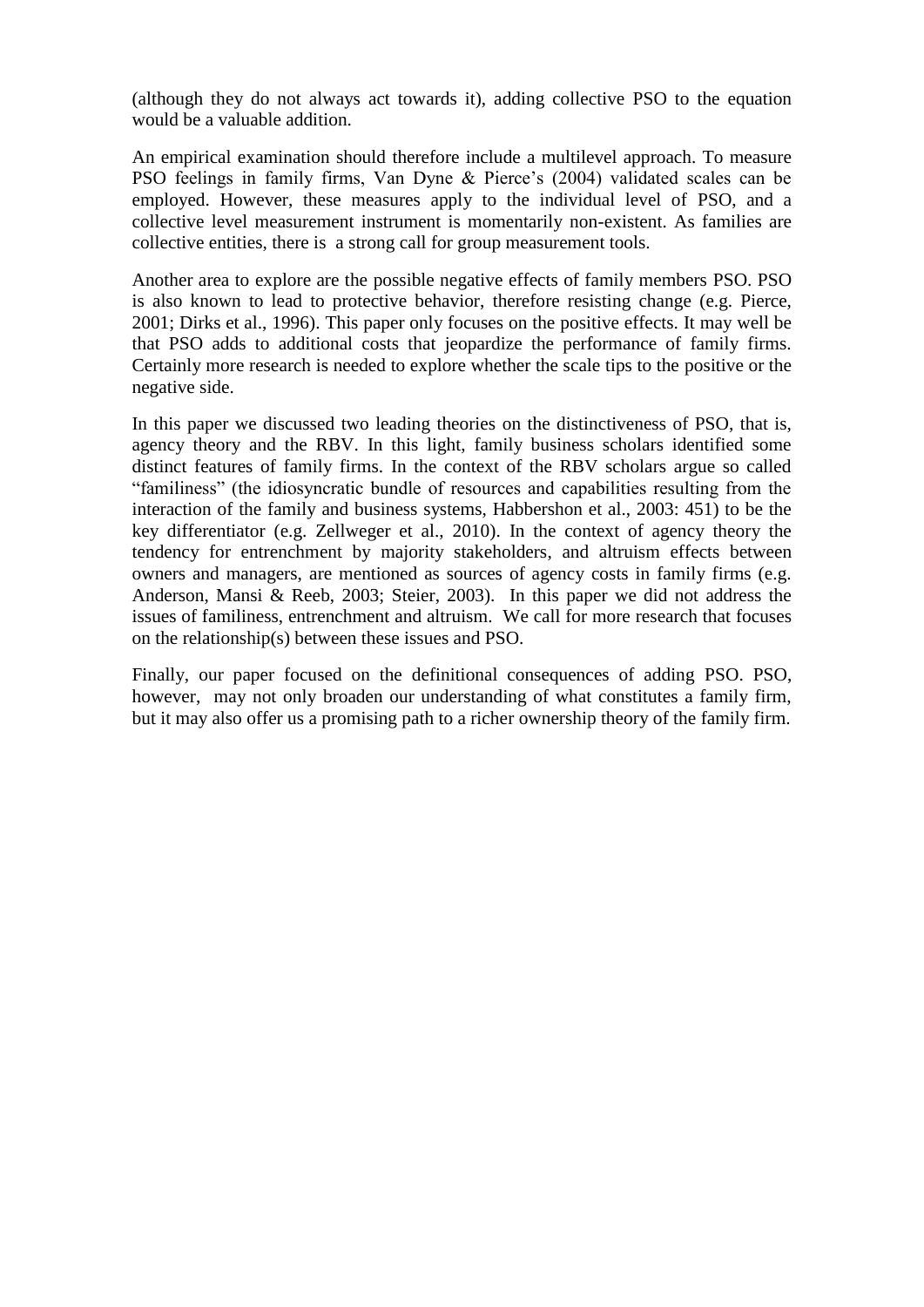(although they do not always act towards it), adding collective PSO to the equation would be a valuable addition.

An empirical examination should therefore include a multilevel approach. To measure PSO feelings in family firms, Van Dyne & Pierce's (2004) validated scales can be employed. However, these measures apply to the individual level of PSO, and a collective level measurement instrument is momentarily non-existent. As families are collective entities, there is a strong call for group measurement tools.

Another area to explore are the possible negative effects of family members PSO. PSO is also known to lead to protective behavior, therefore resisting change (e.g. Pierce, 2001; Dirks et al., 1996). This paper only focuses on the positive effects. It may well be that PSO adds to additional costs that jeopardize the performance of family firms. Certainly more research is needed to explore whether the scale tips to the positive or the negative side.

In this paper we discussed two leading theories on the distinctiveness of PSO, that is, agency theory and the RBV. In this light, family business scholars identified some distinct features of family firms. In the context of the RBV scholars argue so called "familiness" (the idiosyncratic bundle of resources and capabilities resulting from the interaction of the family and business systems, Habbershon et al., 2003: 451) to be the key differentiator (e.g. Zellweger et al., 2010). In the context of agency theory the tendency for entrenchment by majority stakeholders, and altruism effects between owners and managers, are mentioned as sources of agency costs in family firms (e.g. Anderson, Mansi & Reeb, 2003; Steier, 2003). In this paper we did not address the issues of familiness, entrenchment and altruism. We call for more research that focuses on the relationship(s) between these issues and PSO.

Finally, our paper focused on the definitional consequences of adding PSO. PSO, however, may not only broaden our understanding of what constitutes a family firm, but it may also offer us a promising path to a richer ownership theory of the family firm.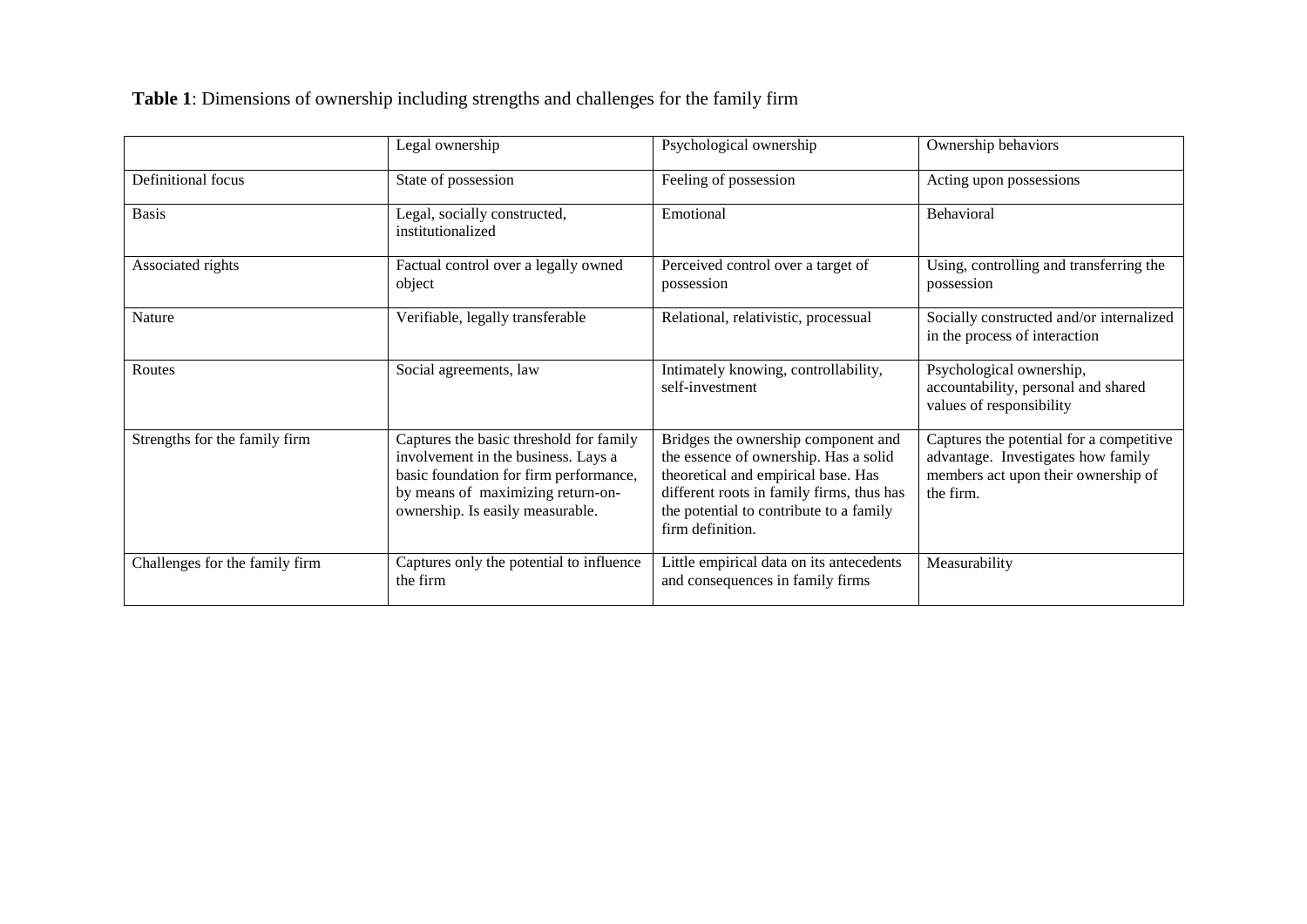**Table 1**: Dimensions of ownership including strengths and challenges for the family firm

|                                | Legal ownership                                                                                                                                                                                   | Psychological ownership                                                                                                                                                                                                         | Ownership behaviors                                                                                                                |
|--------------------------------|---------------------------------------------------------------------------------------------------------------------------------------------------------------------------------------------------|---------------------------------------------------------------------------------------------------------------------------------------------------------------------------------------------------------------------------------|------------------------------------------------------------------------------------------------------------------------------------|
| Definitional focus             | State of possession                                                                                                                                                                               | Feeling of possession                                                                                                                                                                                                           | Acting upon possessions                                                                                                            |
| <b>Basis</b>                   | Legal, socially constructed,<br>institutionalized                                                                                                                                                 | Emotional                                                                                                                                                                                                                       | Behavioral                                                                                                                         |
| Associated rights              | Factual control over a legally owned<br>object                                                                                                                                                    | Perceived control over a target of<br>possession                                                                                                                                                                                | Using, controlling and transferring the<br>possession                                                                              |
| Nature                         | Verifiable, legally transferable                                                                                                                                                                  | Relational, relativistic, processual                                                                                                                                                                                            | Socially constructed and/or internalized<br>in the process of interaction                                                          |
| Routes                         | Social agreements, law                                                                                                                                                                            | Intimately knowing, controllability,<br>self-investment                                                                                                                                                                         | Psychological ownership,<br>accountability, personal and shared<br>values of responsibility                                        |
| Strengths for the family firm  | Captures the basic threshold for family<br>involvement in the business. Lays a<br>basic foundation for firm performance,<br>by means of maximizing return-on-<br>ownership. Is easily measurable. | Bridges the ownership component and<br>the essence of ownership. Has a solid<br>theoretical and empirical base. Has<br>different roots in family firms, thus has<br>the potential to contribute to a family<br>firm definition. | Captures the potential for a competitive<br>advantage. Investigates how family<br>members act upon their ownership of<br>the firm. |
| Challenges for the family firm | Captures only the potential to influence<br>the firm                                                                                                                                              | Little empirical data on its antecedents<br>and consequences in family firms                                                                                                                                                    | Measurability                                                                                                                      |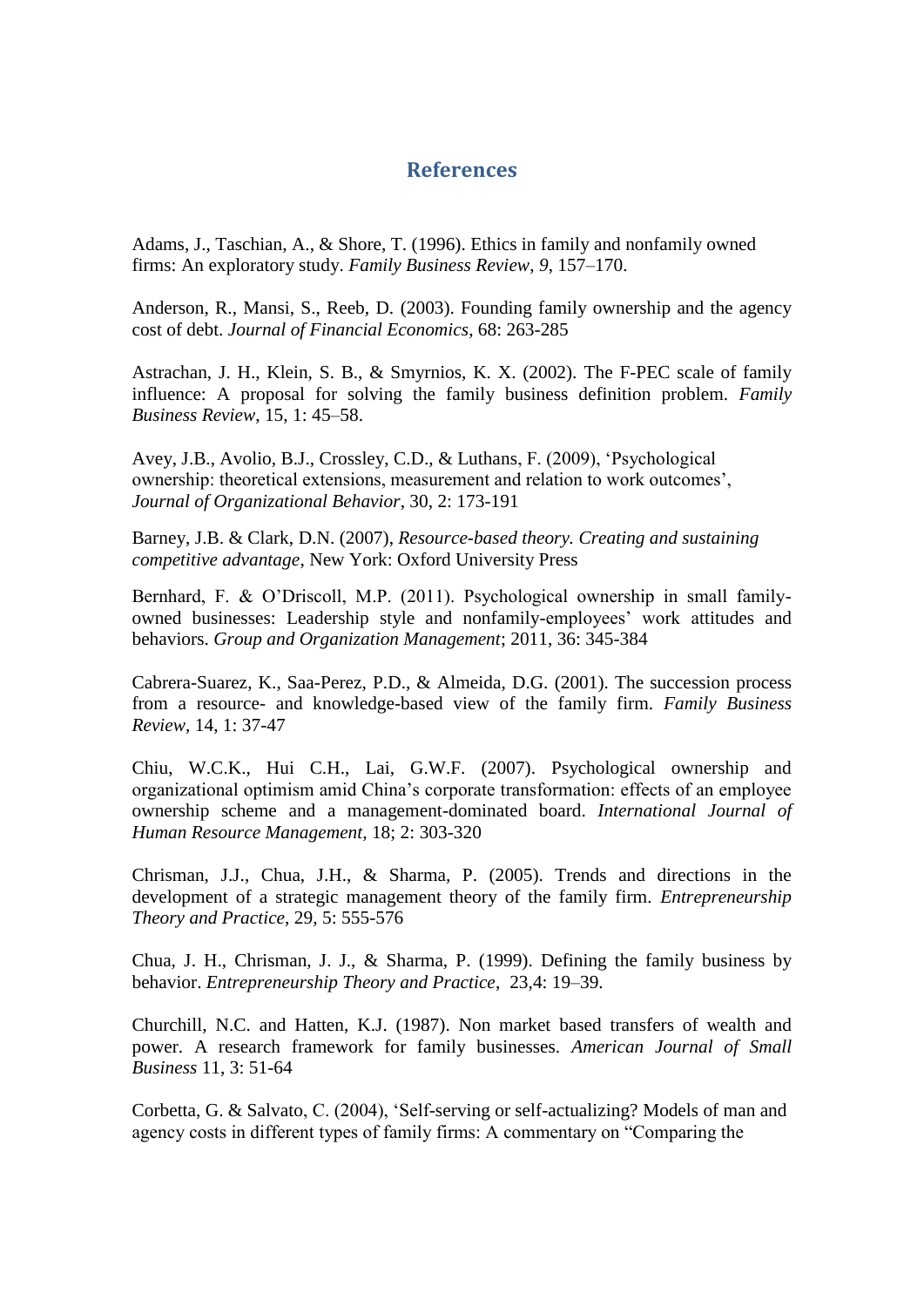## **References**

Adams, J., Taschian, A., & Shore, T. (1996). Ethics in family and nonfamily owned firms: An exploratory study. *Family Business Review*, *9*, 157–170.

Anderson, R., Mansi, S., Reeb, D. (2003). Founding family ownership and the agency cost of debt. *Journal of Financial Economics*, 68: 263-285

Astrachan, J. H., Klein, S. B., & Smyrnios, K. X. (2002). The F-PEC scale of family influence: A proposal for solving the family business definition problem. *Family Business Review*, 15, 1: 45–58.

Avey, J.B., Avolio, B.J., Crossley, C.D., & Luthans, F. (2009), "Psychological ownership: theoretical extensions, measurement and relation to work outcomes", *Journal of Organizational Behavior*, 30, 2: 173-191

Barney, J.B. & Clark, D.N. (2007), *Resource-based theory. Creating and sustaining competitive advantage*, New York: Oxford University Press

Bernhard, F. & O"Driscoll, M.P. (2011). Psychological ownership in small familyowned businesses: Leadership style and nonfamily-employees" work attitudes and behaviors. *Group and Organization Management*; 2011, 36: 345-384

Cabrera-Suarez, K., Saa-Perez, P.D., & Almeida, D.G. (2001). The succession process from a resource- and knowledge-based view of the family firm. *Family Business Review*, 14, 1: 37-47

Chiu, W.C.K., Hui C.H., Lai, G.W.F. (2007). Psychological ownership and organizational optimism amid China"s corporate transformation: effects of an employee ownership scheme and a management-dominated board. *International Journal of Human Resource Management,* 18; 2: 303-320

Chrisman, J.J., Chua, J.H., & Sharma, P. (2005). Trends and directions in the development of a strategic management theory of the family firm*. Entrepreneurship Theory and Practice*, 29, 5: 555-576

Chua, J. H., Chrisman, J. J., & Sharma, P. (1999). Defining the family business by behavior. *Entrepreneurship Theory and Practice*, 23,4: 19–39.

Churchill, N.C. and Hatten, K.J. (1987). Non market based transfers of wealth and power. A research framework for family businesses. *American Journal of Small Business* 11, 3: 51-64

Corbetta, G. & Salvato, C. (2004), "Self-serving or self-actualizing? Models of man and agency costs in different types of family firms: A commentary on "Comparing the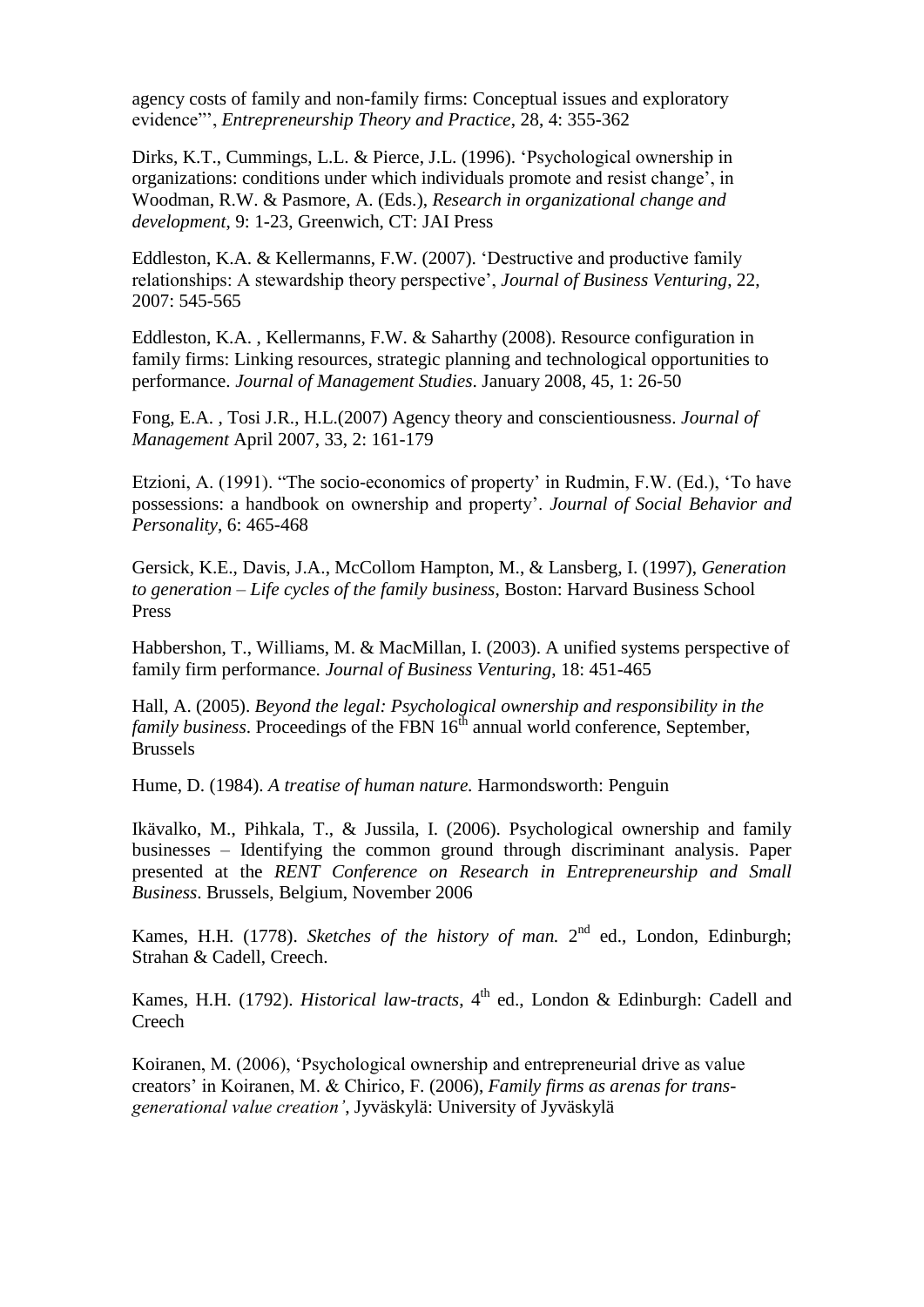agency costs of family and non-family firms: Conceptual issues and exploratory evidence"", *Entrepreneurship Theory and Practice*, 28, 4: 355-362

Dirks, K.T., Cummings, L.L. & Pierce, J.L. (1996). "Psychological ownership in organizations: conditions under which individuals promote and resist change", in Woodman, R.W. & Pasmore, A. (Eds.), *Research in organizational change and development*, 9: 1-23, Greenwich, CT: JAI Press

Eddleston, K.A. & Kellermanns, F.W. (2007). "Destructive and productive family relationships: A stewardship theory perspective", *Journal of Business Venturing*, 22, 2007: 545-565

Eddleston, K.A. , Kellermanns, F.W. & Saharthy (2008). Resource configuration in family firms: Linking resources, strategic planning and technological opportunities to performance. *Journal of Management Studies*. January 2008, 45, 1: 26-50

Fong, E.A. , Tosi J.R., H.L.(2007) Agency theory and conscientiousness. *Journal of Management* April 2007, 33, 2: 161-179

Etzioni, A. (1991). "The socio-economics of property" in Rudmin, F.W. (Ed.), "To have possessions: a handbook on ownership and property". *Journal of Social Behavior and Personality*, 6: 465-468

Gersick, K.E., Davis, J.A., McCollom Hampton, M., & Lansberg, I. (1997), *Generation to generation – Life cycles of the family business*, Boston: Harvard Business School Press

Habbershon, T., Williams, M. & MacMillan, I. (2003). A unified systems perspective of family firm performance. *Journal of Business Venturing*, 18: 451-465

Hall, A. (2005). *Beyond the legal: Psychological ownership and responsibility in the family business.* Proceedings of the FBN 16<sup>th</sup> annual world conference, September, Brussels

Hume, D. (1984). *A treatise of human nature.* Harmondsworth: Penguin

Ikävalko, M., Pihkala, T., & Jussila, I. (2006). Psychological ownership and family businesses – Identifying the common ground through discriminant analysis. Paper presented at the *RENT Conference on Research in Entrepreneurship and Small Business*. Brussels, Belgium, November 2006

Kames, H.H. (1778). *Sketches of the history of man*. 2<sup>nd</sup> ed., London, Edinburgh; Strahan & Cadell, Creech.

Kames, H.H. (1792). *Historical law-tracts*,  $4<sup>th</sup>$  ed., London & Edinburgh: Cadell and Creech

Koiranen, M. (2006), "Psychological ownership and entrepreneurial drive as value creators" in Koiranen, M. & Chirico, F. (2006), *Family firms as arenas for transgenerational value creation'*, Jyväskylä: University of Jyväskylä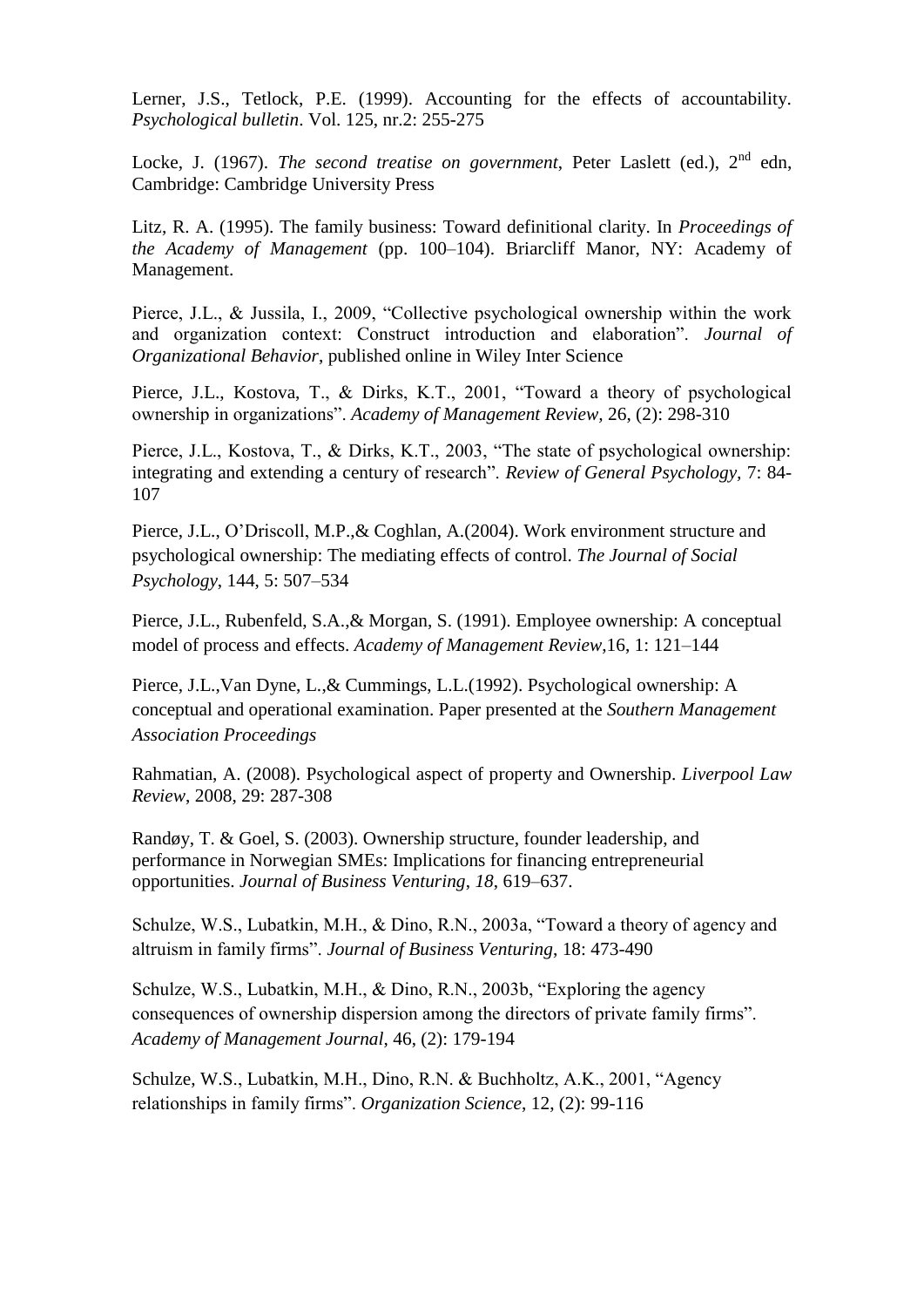Lerner, J.S., Tetlock, P.E. (1999). Accounting for the effects of accountability. *Psychological bulletin*. Vol. 125, nr.2: 255-275

Locke, J. (1967). *The second treatise on government*, Peter Laslett (ed.), 2<sup>nd</sup> edn, Cambridge: Cambridge University Press

Litz, R. A. (1995). The family business: Toward definitional clarity. In *Proceedings of the Academy of Management* (pp. 100–104). Briarcliff Manor, NY: Academy of Management.

Pierce, J.L., & Jussila, I., 2009, "Collective psychological ownership within the work and organization context: Construct introduction and elaboration". *Journal of Organizational Behavior*, published online in Wiley Inter Science

Pierce, J.L., Kostova, T., & Dirks, K.T., 2001, "Toward a theory of psychological ownership in organizations". *Academy of Management Review,* 26, (2): 298-310

Pierce, J.L., Kostova, T., & Dirks, K.T., 2003, "The state of psychological ownership: integrating and extending a century of research". *Review of General Psychology,* 7: 84- 107

Pierce, J.L., O"Driscoll, M.P.,& Coghlan, A.(2004). Work environment structure and psychological ownership: The mediating effects of control. *The Journal of Social Psychology*, 144, 5: 507–534

Pierce, J.L., Rubenfeld, S.A.,& Morgan, S. (1991). Employee ownership: A conceptual model of process and effects. *Academy of Management Review*,16, 1: 121–144

Pierce, J.L.,Van Dyne, L.,& Cummings, L.L.(1992). Psychological ownership: A conceptual and operational examination. Paper presented at the *Southern Management Association Proceedings*

Rahmatian, A. (2008). Psychological aspect of property and Ownership. *Liverpool Law Review*, 2008, 29: 287-308

Randøy, T. & Goel, S. (2003). Ownership structure, founder leadership, and performance in Norwegian SMEs: Implications for financing entrepreneurial opportunities. *Journal of Business Venturing*, *18*, 619–637.

Schulze, W.S., Lubatkin, M.H., & Dino, R.N., 2003a, "Toward a theory of agency and altruism in family firms". *Journal of Business Venturing*, 18: 473-490

Schulze, W.S., Lubatkin, M.H., & Dino, R.N., 2003b, "Exploring the agency consequences of ownership dispersion among the directors of private family firms". *Academy of Management Journal*, 46, (2): 179-194

Schulze, W.S., Lubatkin, M.H., Dino, R.N. & Buchholtz, A.K., 2001, "Agency relationships in family firms". *Organization Science*, 12, (2): 99-116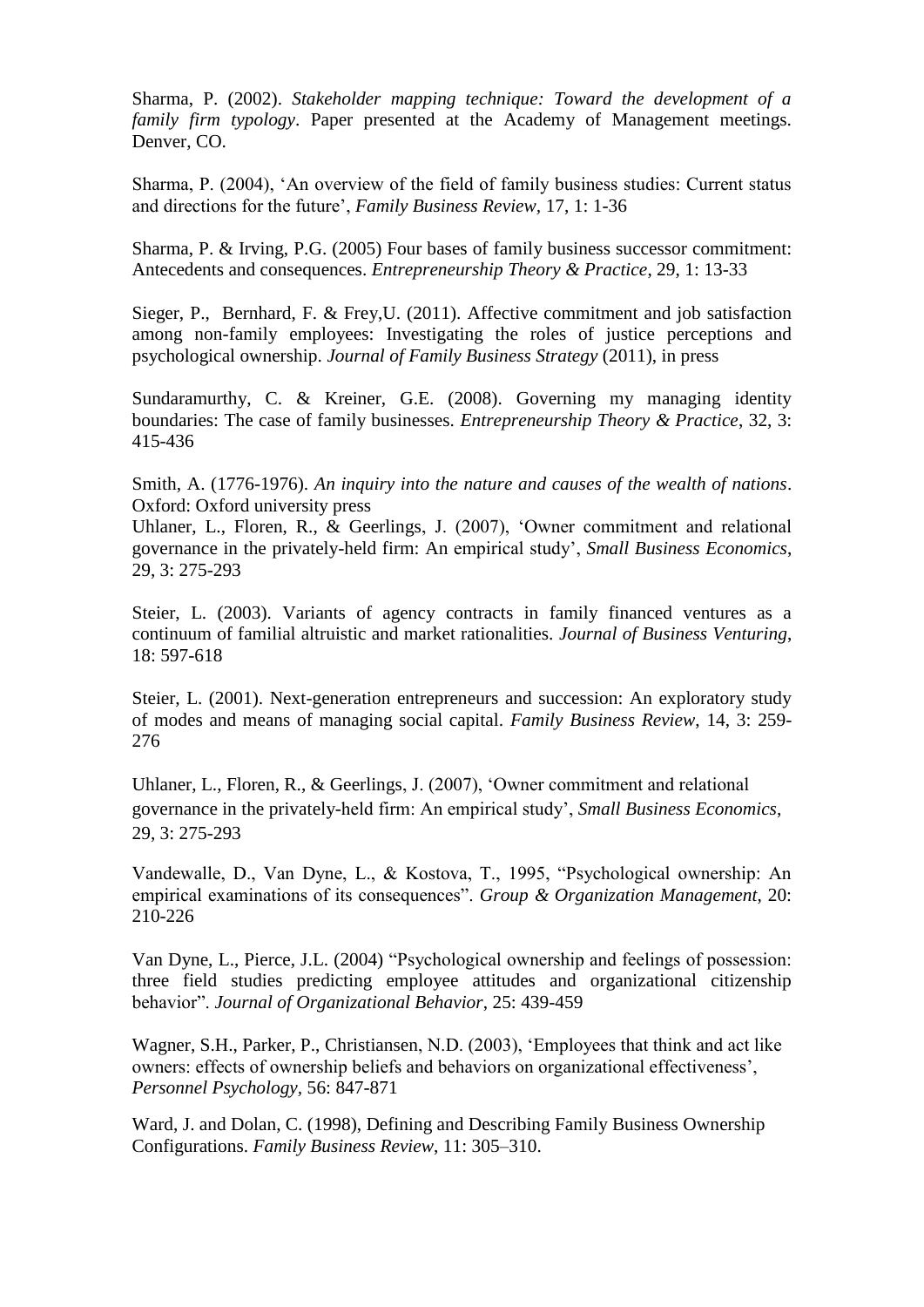Sharma, P. (2002). *Stakeholder mapping technique: Toward the development of a family firm typology*. Paper presented at the Academy of Management meetings. Denver, CO.

Sharma, P. (2004), "An overview of the field of family business studies: Current status and directions for the future", *Family Business Review,* 17, 1: 1-36

Sharma, P. & Irving, P.G. (2005) Four bases of family business successor commitment: Antecedents and consequences. *Entrepreneurship Theory & Practice*, 29, 1: 13-33

Sieger, P., Bernhard, F. & Frey,U. (2011). Affective commitment and job satisfaction among non-family employees: Investigating the roles of justice perceptions and psychological ownership. *Journal of Family Business Strategy* (2011), in press

Sundaramurthy, C. & Kreiner, G.E. (2008). Governing my managing identity boundaries: The case of family businesses. *Entrepreneurship Theory & Practice*, 32, 3: 415-436

Smith, A. (1776-1976). *An inquiry into the nature and causes of the wealth of nations*. Oxford: Oxford university press

Uhlaner, L., Floren, R., & Geerlings, J. (2007), "Owner commitment and relational governance in the privately-held firm: An empirical study", *Small Business Economics*, 29, 3: 275-293

Steier, L. (2003). Variants of agency contracts in family financed ventures as a continuum of familial altruistic and market rationalities. *Journal of Business Venturing*, 18: 597-618

Steier, L. (2001). Next-generation entrepreneurs and succession: An exploratory study of modes and means of managing social capital. *Family Business Review*, 14, 3: 259- 276

Uhlaner, L., Floren, R., & Geerlings, J. (2007), "Owner commitment and relational governance in the privately-held firm: An empirical study", *Small Business Economics*, 29, 3: 275-293

Vandewalle, D., Van Dyne, L., & Kostova, T., 1995, "Psychological ownership: An empirical examinations of its consequences". *Group & Organization Management*, 20: 210-226

Van Dyne, L., Pierce, J.L. (2004) "Psychological ownership and feelings of possession: three field studies predicting employee attitudes and organizational citizenship behavior". *Journal of Organizational Behavior*, 25: 439-459

Wagner, S.H., Parker, P., Christiansen, N.D. (2003), "Employees that think and act like owners: effects of ownership beliefs and behaviors on organizational effectiveness", *Personnel Psychology,* 56: 847-871

Ward, J. and Dolan, C. (1998), Defining and Describing Family Business Ownership Configurations. *Family Business Review*, 11: 305–310.